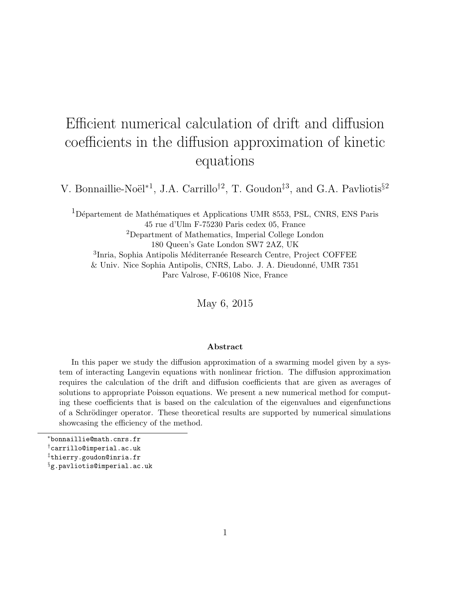# Efficient numerical calculation of drift and diffusion coefficients in the diffusion approximation of kinetic equations

V. Bonnaillie-Noël<sup>\*1</sup>, J.A. Carrillo<sup>†2</sup>, T. Goudon<sup>‡3</sup>, and G.A. Pavliotis<sup>§2</sup>

<sup>1</sup>Département de Mathématiques et Applications UMR 8553, PSL, CNRS, ENS Paris 45 rue d'Ulm F-75230 Paris cedex 05, France <sup>2</sup>Department of Mathematics, Imperial College London 180 Queen's Gate London SW7 2AZ, UK <sup>3</sup>Inria, Sophia Antipolis Méditerranée Research Centre, Project COFFEE & Univ. Nice Sophia Antipolis, CNRS, Labo. J. A. Dieudonn´e, UMR 7351 Parc Valrose, F-06108 Nice, France

May 6, 2015

#### ${\rm Abstract}$

In this paper we study the diffusion approximation of a swarming model given by a system of interacting Langevin equations with nonlinear friction. The diffusion approximation requires the calculation of the drift and diffusion coefficients that are given as averages of solutions to appropriate Poisson equations. We present a new numerical method for computing these coefficients that is based on the calculation of the eigenvalues and eigenfunctions of a Schrödinger operator. These theoretical results are supported by numerical simulations showcasing the efficiency of the method.

<sup>∗</sup>bonnaillie@math.cnrs.fr

<sup>†</sup>carrillo@imperial.ac.uk

<sup>‡</sup>thierry.goudon@inria.fr

<sup>&</sup>lt;sup>§</sup>g.pavliotis@imperial.ac.uk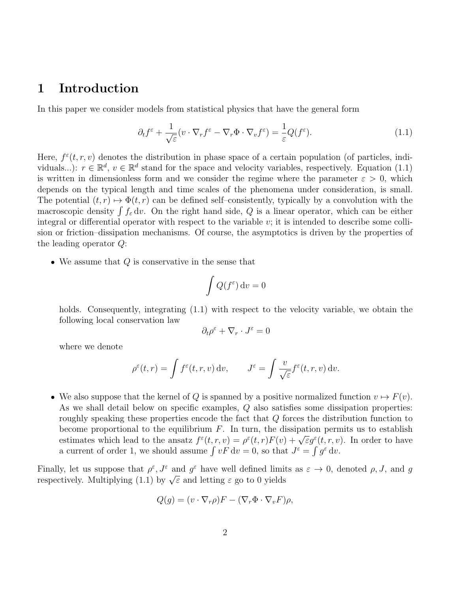# 1 Introduction

In this paper we consider models from statistical physics that have the general form

$$
\partial_t f^\varepsilon + \frac{1}{\sqrt{\varepsilon}} (v \cdot \nabla_r f^\varepsilon - \nabla_r \Phi \cdot \nabla_v f^\varepsilon) = \frac{1}{\varepsilon} Q(f^\varepsilon). \tag{1.1}
$$

Here,  $f^{\varepsilon}(t, r, v)$  denotes the distribution in phase space of a certain population (of particles, individuals...):  $r \in \mathbb{R}^d$ ,  $v \in \mathbb{R}^d$  stand for the space and velocity variables, respectively. Equation (1.1) is written in dimensionless form and we consider the regime where the parameter  $\varepsilon > 0$ , which depends on the typical length and time scales of the phenomena under consideration, is small. The potential  $(t, r) \mapsto \Phi(t, r)$  can be defined self–consistently, typically by a convolution with the macroscopic density  $\int f_{\varepsilon} dv$ . On the right hand side, Q is a linear operator, which can be either integral or differential operator with respect to the variable  $v$ ; it is intended to describe some collision or friction–dissipation mechanisms. Of course, the asymptotics is driven by the properties of the leading operator Q:

• We assume that  $Q$  is conservative in the sense that

$$
\int Q(f^\varepsilon)\,\mathrm{d} v=0
$$

holds. Consequently, integrating (1.1) with respect to the velocity variable, we obtain the following local conservation law

$$
\partial_t \rho^\varepsilon + \nabla_r \cdot J^\varepsilon = 0
$$

where we denote

$$
\rho^{\varepsilon}(t,r) = \int f^{\varepsilon}(t,r,v) dv, \qquad J^{\varepsilon} = \int \frac{v}{\sqrt{\varepsilon}} f^{\varepsilon}(t,r,v) dv.
$$

• We also suppose that the kernel of Q is spanned by a positive normalized function  $v \mapsto F(v)$ . As we shall detail below on specific examples, Q also satisfies some dissipation properties: roughly speaking these properties encode the fact that Q forces the distribution function to become proportional to the equilibrium  $F$ . In turn, the dissipation permits us to establish become proportional to the equilibrium r. In turn, the dissipation permits us to establish<br>estimates which lead to the ansatz  $f^{\epsilon}(t,r,v) = \rho^{\epsilon}(t,r)F(v) + \sqrt{\epsilon}g^{\epsilon}(t,r,v)$ . In order to have a current of order 1, we should assume  $\int v F dv = 0$ , so that  $J^{\varepsilon} = \int g^{\varepsilon} dv$ .

Finally, let us suppose that  $\rho^{\varepsilon}, J^{\varepsilon}$  and  $g^{\varepsilon}$  have well defined limits as  $\varepsilon \to 0$ , denoted  $\rho, J$ , and g Finally, let us suppose that  $\rho$ ,  $\bar{J}$  and  $\bar{g}$  have well defined finite<br>respectively. Multiplying (1.1) by  $\sqrt{\varepsilon}$  and letting  $\varepsilon$  go to 0 yields

$$
Q(g) = (v \cdot \nabla_r \rho)F - (\nabla_r \Phi \cdot \nabla_v F)\rho,
$$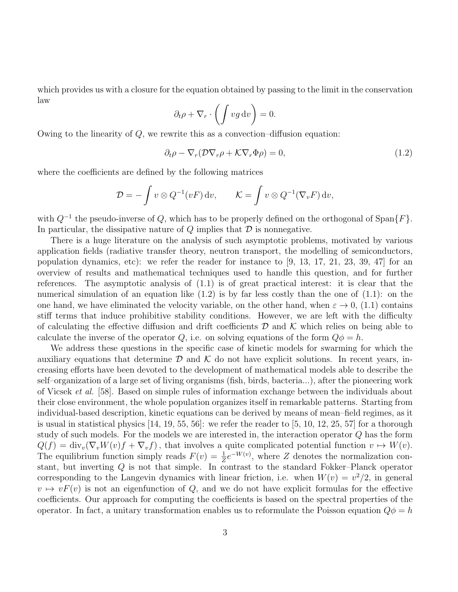which provides us with a closure for the equation obtained by passing to the limit in the conservation law

$$
\partial_t \rho + \nabla_r \cdot \left( \int v g \, \mathrm{d}v \right) = 0.
$$

Owing to the linearity of  $Q$ , we rewrite this as a convection–diffusion equation:

$$
\partial_t \rho - \nabla_r (\mathcal{D} \nabla_r \rho + \mathcal{K} \nabla_r \Phi \rho) = 0, \qquad (1.2)
$$

where the coefficients are defined by the following matrices

$$
\mathcal{D} = -\int v \otimes Q^{-1}(vF) dv, \qquad \mathcal{K} = \int v \otimes Q^{-1}(\nabla_v F) dv,
$$

with  $Q^{-1}$  the pseudo-inverse of Q, which has to be properly defined on the orthogonal of Span $\{F\}$ . In particular, the dissipative nature of  $Q$  implies that  $D$  is nonnegative.

There is a huge literature on the analysis of such asymptotic problems, motivated by various application fields (radiative transfer theory, neutron transport, the modelling of semiconductors, population dynamics, etc): we refer the reader for instance to  $(9, 13, 17, 21, 23, 39, 47)$  for an overview of results and mathematical techniques used to handle this question, and for further references. The asymptotic analysis of (1.1) is of great practical interest: it is clear that the numerical simulation of an equation like  $(1.2)$  is by far less costly than the one of  $(1.1)$ : on the one hand, we have eliminated the velocity variable, on the other hand, when  $\varepsilon \to 0$ , (1.1) contains stiff terms that induce prohibitive stability conditions. However, we are left with the difficulty of calculating the effective diffusion and drift coefficients  $\mathcal D$  and  $\mathcal K$  which relies on being able to calculate the inverse of the operator Q, i.e. on solving equations of the form  $Q\phi = h$ .

We address these questions in the specific case of kinetic models for swarming for which the auxiliary equations that determine  $\mathcal D$  and  $\mathcal K$  do not have explicit solutions. In recent years, increasing efforts have been devoted to the development of mathematical models able to describe the self–organization of a large set of living organisms (fish, birds, bacteria...), after the pioneering work of Vicsek et al. [58]. Based on simple rules of information exchange between the individuals about their close environment, the whole population organizes itself in remarkable patterns. Starting from individual-based description, kinetic equations can be derived by means of mean–field regimes, as it is usual in statistical physics  $[14, 19, 55, 56]$ : we refer the reader to  $[5, 10, 12, 25, 57]$  for a thorough study of such models. For the models we are interested in, the interaction operator Q has the form  $Q(f) = \text{div}_v(\nabla_v W(v)f + \nabla_v f)$ , that involves a quite complicated potential function  $v \mapsto W(v)$ . The equilibrium function simply reads  $F(v) = \frac{1}{Z}e^{-W(v)}$ , where Z denotes the normalization constant, but inverting Q is not that simple. In contrast to the standard Fokker–Planck operator corresponding to the Langevin dynamics with linear friction, i.e. when  $W(v) = v^2/2$ , in general  $v \mapsto vF(v)$  is not an eigenfunction of Q, and we do not have explicit formulas for the effective coefficients. Our approach for computing the coefficients is based on the spectral properties of the operator. In fact, a unitary transformation enables us to reformulate the Poisson equation  $Q\phi = h$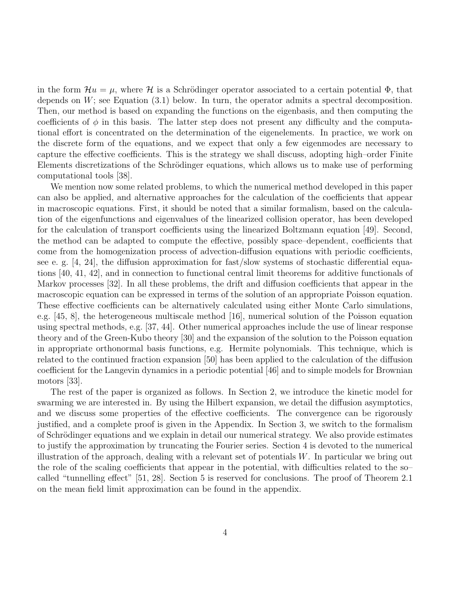in the form  $\mathcal{H}u = \mu$ , where H is a Schrödinger operator associated to a certain potential  $\Phi$ , that depends on  $W$ ; see Equation  $(3.1)$  below. In turn, the operator admits a spectral decomposition. Then, our method is based on expanding the functions on the eigenbasis, and then computing the coefficients of  $\phi$  in this basis. The latter step does not present any difficulty and the computational effort is concentrated on the determination of the eigenelements. In practice, we work on the discrete form of the equations, and we expect that only a few eigenmodes are necessary to capture the effective coefficients. This is the strategy we shall discuss, adopting high–order Finite Elements discretizations of the Schrödinger equations, which allows us to make use of performing computational tools [38].

We mention now some related problems, to which the numerical method developed in this paper can also be applied, and alternative approaches for the calculation of the coefficients that appear in macroscopic equations. First, it should be noted that a similar formalism, based on the calculation of the eigenfunctions and eigenvalues of the linearized collision operator, has been developed for the calculation of transport coefficients using the linearized Boltzmann equation [49]. Second, the method can be adapted to compute the effective, possibly space–dependent, coefficients that come from the homogenization process of advection-diffusion equations with periodic coefficients, see e. g. [4, 24], the diffusion approximation for fast/slow systems of stochastic differential equations [40, 41, 42], and in connection to functional central limit theorems for additive functionals of Markov processes [32]. In all these problems, the drift and diffusion coefficients that appear in the macroscopic equation can be expressed in terms of the solution of an appropriate Poisson equation. These effective coefficients can be alternatively calculated using either Monte Carlo simulations, e.g. [45, 8], the heterogeneous multiscale method [16], numerical solution of the Poisson equation using spectral methods, e.g. [37, 44]. Other numerical approaches include the use of linear response theory and of the Green-Kubo theory [30] and the expansion of the solution to the Poisson equation in appropriate orthonormal basis functions, e.g. Hermite polynomials. This technique, which is related to the continued fraction expansion [50] has been applied to the calculation of the diffusion coefficient for the Langevin dynamics in a periodic potential [46] and to simple models for Brownian motors [33].

The rest of the paper is organized as follows. In Section 2, we introduce the kinetic model for swarming we are interested in. By using the Hilbert expansion, we detail the diffusion asymptotics, and we discuss some properties of the effective coefficients. The convergence can be rigorously justified, and a complete proof is given in the Appendix. In Section 3, we switch to the formalism of Schrödinger equations and we explain in detail our numerical strategy. We also provide estimates to justify the approximation by truncating the Fourier series. Section 4 is devoted to the numerical illustration of the approach, dealing with a relevant set of potentials W. In particular we bring out the role of the scaling coefficients that appear in the potential, with difficulties related to the so– called "tunnelling effect" [51, 28]. Section 5 is reserved for conclusions. The proof of Theorem 2.1 on the mean field limit approximation can be found in the appendix.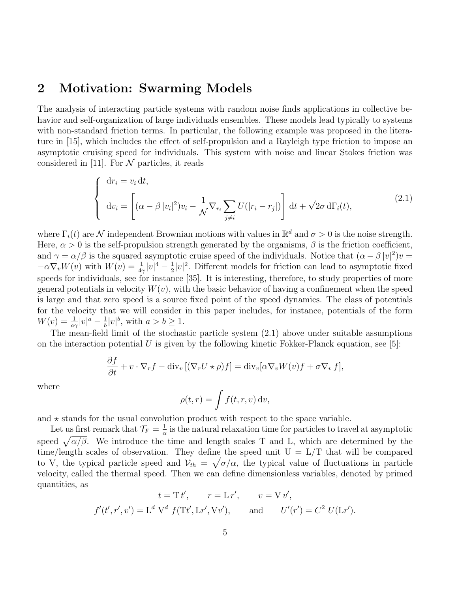# 2 Motivation: Swarming Models

The analysis of interacting particle systems with random noise finds applications in collective behavior and self-organization of large individuals ensembles. These models lead typically to systems with non-standard friction terms. In particular, the following example was proposed in the literature in [15], which includes the effect of self-propulsion and a Rayleigh type friction to impose an asymptotic cruising speed for individuals. This system with noise and linear Stokes friction was considered in [11]. For  $\mathcal N$  particles, it reads

$$
\begin{cases} d r_i = v_i dt, \\ d v_i = \left[ (\alpha - \beta |v_i|^2) v_i - \frac{1}{\mathcal{N}} \nabla_{r_i} \sum_{j \neq i} U(|r_i - r_j|) \right] dt + \sqrt{2\sigma} d\Gamma_i(t), \end{cases}
$$
(2.1)

where  $\Gamma_i(t)$  are  $\mathcal N$  independent Brownian motions with values in  $\mathbb R^d$  and  $\sigma > 0$  is the noise strength. Here,  $\alpha > 0$  is the self-propulsion strength generated by the organisms,  $\beta$  is the friction coefficient, and  $\gamma = \alpha/\beta$  is the squared asymptotic cruise speed of the individuals. Notice that  $(\alpha - \beta |v|^2)v =$  $-\alpha \nabla_v W(v)$  with  $W(v) = \frac{1}{4\gamma} |v|^4 - \frac{1}{2}$  $\frac{1}{2}|v|^2$ . Different models for friction can lead to asymptotic fixed speeds for individuals, see for instance [35]. It is interesting, therefore, to study properties of more general potentials in velocity  $W(v)$ , with the basic behavior of having a confinement when the speed is large and that zero speed is a source fixed point of the speed dynamics. The class of potentials for the velocity that we will consider in this paper includes, for instance, potentials of the form  $W(v) = \frac{1}{a\gamma}|v|^a - \frac{1}{b}$  $\frac{1}{b}|v|^b$ , with  $a > b \ge 1$ .

The mean-field limit of the stochastic particle system (2.1) above under suitable assumptions on the interaction potential U is given by the following kinetic Fokker-Planck equation, see [5]:

$$
\frac{\partial f}{\partial t} + v \cdot \nabla_r f - \text{div}_v [(\nabla_r U \star \rho) f] = \text{div}_v [\alpha \nabla_v W(v) f + \sigma \nabla_v f],
$$

where

$$
\rho(t,r) = \int f(t,r,v) \, \mathrm{d}v,
$$

and  $\star$  stands for the usual convolution product with respect to the space variable.

Let us first remark that  $\mathcal{T}_F = \frac{1}{\alpha}$  $\frac{1}{\alpha}$  is the natural relaxation time for particles to travel at asymptotic speed  $\sqrt{\alpha/\beta}$ . We introduce the time and length scales T and L, which are determined by the time/length scales of observation. They define the speed unit  $U = L/T$  that will be compared to V, the typical particle speed and  $V_{th} = \sqrt{\sigma/\alpha}$ , the typical value of fluctuations in particle velocity, called the thermal speed. Then we can define dimensionless variables, denoted by primed quantities, as

$$
t = T t', \t r = L r', \t v = V v',
$$
  
 $f'(t', r', v') = L^d V^d f(Tt', Lr', Vv'), \t and \t U'(r') = C^2 U(Lr').$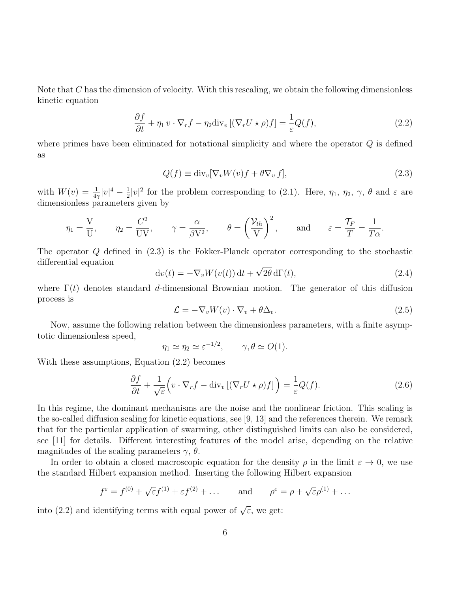Note that C has the dimension of velocity. With this rescaling, we obtain the following dimensionless kinetic equation

$$
\frac{\partial f}{\partial t} + \eta_1 v \cdot \nabla_r f - \eta_2 \text{div}_v \left[ (\nabla_r U \star \rho) f \right] = \frac{1}{\varepsilon} Q(f),\tag{2.2}
$$

where primes have been eliminated for notational simplicity and where the operator Q is defined as

$$
Q(f) \equiv \text{div}_{v}[\nabla_{v}W(v)f + \theta \nabla_{v}f],
$$
\n(2.3)

with  $W(v) = \frac{1}{4\gamma}|v|^4 - \frac{1}{2}$  $\frac{1}{2}|v|^2$  for the problem corresponding to (2.1). Here,  $\eta_1$ ,  $\eta_2$ ,  $\gamma$ ,  $\theta$  and  $\varepsilon$  are dimensionless parameters given by

$$
\eta_1 = \frac{V}{U},
$$
\n $\eta_2 = \frac{C^2}{UV},$ \n $\gamma = \frac{\alpha}{\beta V^2},$ \n $\theta = \left(\frac{\mathcal{V}_{th}}{V}\right)^2,$ \nand\n $\varepsilon = \frac{\tau_F}{T} = \frac{1}{T\alpha}.$ 

The operator Q defined in (2.3) is the Fokker-Planck operator corresponding to the stochastic differential equation √

$$
dv(t) = -\nabla_v W(v(t)) dt + \sqrt{2\theta} d\Gamma(t),
$$
\n(2.4)

where  $\Gamma(t)$  denotes standard d-dimensional Brownian motion. The generator of this diffusion process is

$$
\mathcal{L} = -\nabla_v W(v) \cdot \nabla_v + \theta \Delta_v.
$$
\n(2.5)

Now, assume the following relation between the dimensionless parameters, with a finite asymptotic dimensionless speed,

$$
\eta_1 \simeq \eta_2 \simeq \varepsilon^{-1/2}, \qquad \gamma, \theta \simeq O(1).
$$

With these assumptions, Equation (2.2) becomes

$$
\frac{\partial f}{\partial t} + \frac{1}{\sqrt{\varepsilon}} \Big( v \cdot \nabla_r f - \text{div}_v \left[ (\nabla_r U \star \rho) f \right] \Big) = \frac{1}{\varepsilon} Q(f). \tag{2.6}
$$

In this regime, the dominant mechanisms are the noise and the nonlinear friction. This scaling is the so-called diffusion scaling for kinetic equations, see [9, 13] and the references therein. We remark that for the particular application of swarming, other distinguished limits can also be considered, see [11] for details. Different interesting features of the model arise, depending on the relative magnitudes of the scaling parameters  $\gamma$ ,  $\theta$ .

In order to obtain a closed macroscopic equation for the density  $\rho$  in the limit  $\varepsilon \to 0$ , we use the standard Hilbert expansion method. Inserting the following Hilbert expansion

$$
f^{\varepsilon} = f^{(0)} + \sqrt{\varepsilon} f^{(1)} + \varepsilon f^{(2)} + \dots
$$
 and  $\rho^{\varepsilon} = \rho + \sqrt{\varepsilon} \rho^{(1)} + \dots$ 

into (2.2) and identifying terms with equal power of  $\sqrt{\varepsilon}$ , we get: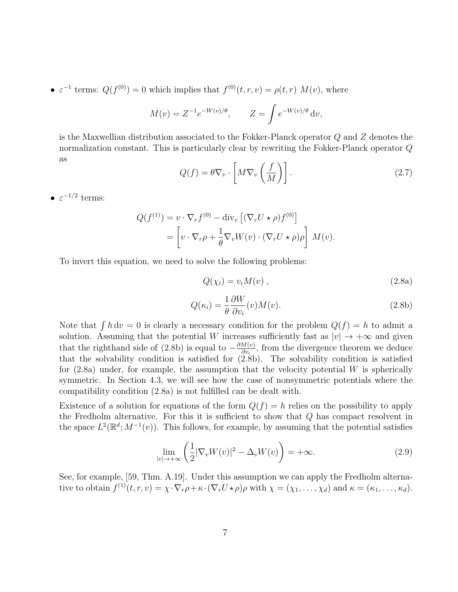•  $\varepsilon^{-1}$  terms:  $Q(f^{(0)}) = 0$  which implies that  $f^{(0)}(t,r,v) = \rho(t,r) M(v)$ , where

$$
M(v) = Z^{-1}e^{-W(v)/\theta}, \qquad Z = \int e^{-W(v)/\theta} dv,
$$

is the Maxwellian distribution associated to the Fokker-Planck operator Q and Z denotes the normalization constant. This is particularly clear by rewriting the Fokker-Planck operator Q as

$$
Q(f) = \theta \nabla_v \cdot \left[ M \nabla_v \left( \frac{f}{M} \right) \right]. \tag{2.7}
$$

•  $\varepsilon^{-1/2}$  terms:

$$
Q(f^{(1)}) = v \cdot \nabla_r f^{(0)} - \text{div}_v \left[ (\nabla_r U \star \rho) f^{(0)} \right]
$$
  
= 
$$
\left[ v \cdot \nabla_r \rho + \frac{1}{\theta} \nabla_v W(v) \cdot (\nabla_r U \star \rho) \rho \right] M(v).
$$

To invert this equation, we need to solve the following problems:

$$
Q(\chi_i) = v_i M(v) \t{,} \t(2.8a)
$$

$$
Q(\kappa_i) = \frac{1}{\theta} \frac{\partial W}{\partial v_i}(v) M(v).
$$
 (2.8b)

Note that  $\int h dv = 0$  is clearly a necessary condition for the problem  $Q(f) = h$  to admit a solution. Assuming that the potential W increases sufficiently fast as  $|v| \to +\infty$  and given that the righthand side of (2.8b) is equal to  $-\frac{\partial M(v)}{\partial w}$  $\frac{\partial u(v)}{\partial v_i}$ , from the divergence theorem we deduce that the solvability condition is satisfied for  $(2.\dot{8}b)$ . The solvability condition is satisfied for  $(2.8a)$  under, for example, the assumption that the velocity potential W is spherically symmetric. In Section 4.3, we will see how the case of nonsymmetric potentials where the compatibility condition (2.8a) is not fulfilled can be dealt with.

Existence of a solution for equations of the form  $Q(f) = h$  relies on the possibility to apply the Fredholm alternative. For this it is sufficient to show that  $Q$  has compact resolvent in the space  $L^2(\mathbb{R}^d; M^{-1}(v))$ . This follows, for example, by assuming that the potential satisfies

$$
\lim_{|v| \to +\infty} \left( \frac{1}{2} |\nabla_v W(v)|^2 - \Delta_v W(v) \right) = +\infty.
$$
\n(2.9)

See, for example, [59, Thm. A.19]. Under this assumption we can apply the Fredholm alternative to obtain  $f^{(1)}(t,r,v) = \chi \cdot \nabla_r \rho + \kappa \cdot (\nabla_r U \star \rho) \rho$  with  $\chi = (\chi_1, \ldots, \chi_d)$  and  $\kappa = (\kappa_1, \ldots, \kappa_d)$ .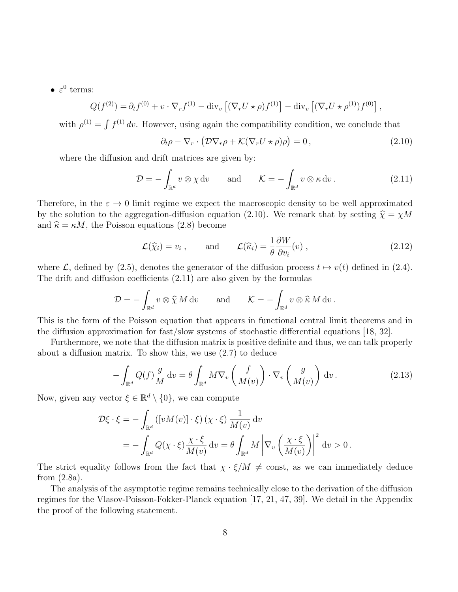•  $\varepsilon^0$  terms:

$$
Q(f^{(2)}) = \partial_t f^{(0)} + v \cdot \nabla_r f^{(1)} - \text{div}_v \left[ (\nabla_r U \star \rho) f^{(1)} \right] - \text{div}_v \left[ (\nabla_r U \star \rho^{(1)}) f^{(0)} \right],
$$

with  $\rho^{(1)} = \int f^{(1)} dv$ . However, using again the compatibility condition, we conclude that

$$
\partial_t \rho - \nabla_r \cdot \left( \mathcal{D} \nabla_r \rho + \mathcal{K} (\nabla_r U \star \rho) \rho \right) = 0, \qquad (2.10)
$$

where the diffusion and drift matrices are given by:

$$
\mathcal{D} = -\int_{\mathbb{R}^d} v \otimes \chi \, \mathrm{d}v \qquad \text{and} \qquad \mathcal{K} = -\int_{\mathbb{R}^d} v \otimes \kappa \, \mathrm{d}v \,.
$$
 (2.11)

Therefore, in the  $\varepsilon \to 0$  limit regime we expect the macroscopic density to be well approximated by the solution to the aggregation-diffusion equation (2.10). We remark that by setting  $\hat{\chi} = \chi M$ and  $\hat{\kappa} = \kappa M$ , the Poisson equations (2.8) become

$$
\mathcal{L}(\widehat{\chi}_i) = v_i
$$
, and  $\mathcal{L}(\widehat{\kappa}_i) = \frac{1}{\theta} \frac{\partial W}{\partial v_i}(v)$ , (2.12)

where L, defined by (2.5), denotes the generator of the diffusion process  $t \mapsto v(t)$  defined in (2.4). The drift and diffusion coefficients (2.11) are also given by the formulas

$$
\mathcal{D} = -\int_{\mathbb{R}^d} v \otimes \widehat{\chi} M \, \mathrm{d}v \qquad \text{and} \qquad \mathcal{K} = -\int_{\mathbb{R}^d} v \otimes \widehat{\kappa} M \, \mathrm{d}v \, .
$$

This is the form of the Poisson equation that appears in functional central limit theorems and in the diffusion approximation for fast/slow systems of stochastic differential equations [18, 32].

Furthermore, we note that the diffusion matrix is positive definite and thus, we can talk properly about a diffusion matrix. To show this, we use (2.7) to deduce

$$
-\int_{\mathbb{R}^d} Q(f) \frac{g}{M} dv = \theta \int_{\mathbb{R}^d} M \nabla_v \left( \frac{f}{M(v)} \right) \cdot \nabla_v \left( \frac{g}{M(v)} \right) dv.
$$
 (2.13)

Now, given any vector  $\xi \in \mathbb{R}^d \setminus \{0\}$ , we can compute

$$
\mathcal{D}\xi \cdot \xi = -\int_{\mathbb{R}^d} \left( \left[ v M(v) \right] \cdot \xi \right) (\chi \cdot \xi) \frac{1}{M(v)} dv
$$
  
= 
$$
- \int_{\mathbb{R}^d} Q(\chi \cdot \xi) \frac{\chi \cdot \xi}{M(v)} dv = \theta \int_{\mathbb{R}^d} M \left| \nabla_v \left( \frac{\chi \cdot \xi}{M(v)} \right) \right|^2 dv > 0.
$$

The strict equality follows from the fact that  $\chi \cdot \xi/M \neq \text{const}$ , as we can immediately deduce from (2.8a).

The analysis of the asymptotic regime remains technically close to the derivation of the diffusion regimes for the Vlasov-Poisson-Fokker-Planck equation [17, 21, 47, 39]. We detail in the Appendix the proof of the following statement.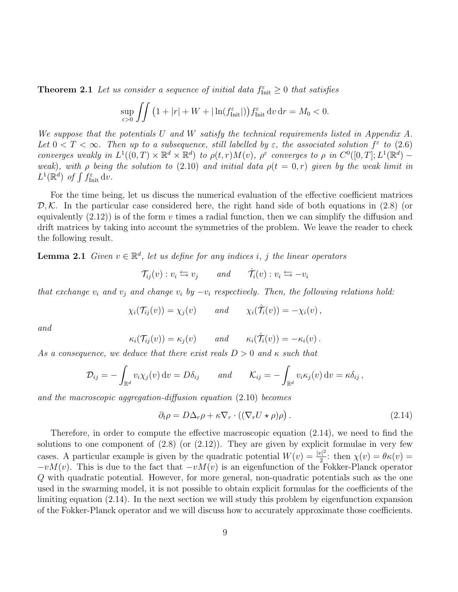**Theorem 2.1** Let us consider a sequence of initial data  $f_{\text{Init}}^{\varepsilon} \geq 0$  that satisfies

$$
\sup_{\varepsilon>0}\iint \left(1+|r|+W+|\ln(f_{\text{Init}}^{\varepsilon}|)\right)f_{\text{Init}}^{\varepsilon}\,\mathrm{d}v\,\mathrm{d}r=M_0<0.
$$

We suppose that the potentials U and W satisfy the technical requirements listed in Appendix A. Let  $0 < T < \infty$ . Then up to a subsequence, still labelled by  $\varepsilon$ , the associated solution  $f^{\varepsilon}$  to (2.6) converges weakly in  $L^1((0,T)\times\mathbb{R}^d\times\mathbb{R}^d)$  to  $\rho(t,r)M(v)$ ,  $\rho^{\varepsilon}$  converges to  $\rho$  in  $C^0([0,T];L^1(\mathbb{R}^d)$  weak), with  $\rho$  being the solution to (2.10) and initial data  $\rho(t = 0, r)$  given by the weak limit in  $L^1(\mathbb{R}^d)$  of  $\int f_{\text{Init}}^{\varepsilon} \, \mathrm{d}v$ .

For the time being, let us discuss the numerical evaluation of the effective coefficient matrices  $\mathcal{D}, \mathcal{K}$ . In the particular case considered here, the right hand side of both equations in (2.8) (or equivalently  $(2.12)$  is of the form v times a radial function, then we can simplify the diffusion and drift matrices by taking into account the symmetries of the problem. We leave the reader to check the following result.

**Lemma 2.1** Given  $v \in \mathbb{R}^d$ , let us define for any indices i, j the linear operators

$$
\mathcal{T}_{ij}(v) : v_i \leftrightarrows v_j \qquad and \qquad \hat{\mathcal{T}}_i(v) : v_i \leftrightarrows -v_i
$$

that exchange  $v_i$  and  $v_j$  and change  $v_i$  by  $-v_i$  respectively. Then, the following relations hold:

$$
\chi_i(\mathcal{T}_{ij}(v)) = \chi_j(v) \quad \text{and} \quad \chi_i(\hat{\mathcal{T}}_i(v)) = -\chi_i(v) \,,
$$

and

$$
\kappa_i(\mathcal{T}_{ij}(v)) = \kappa_j(v)
$$
 and  $\kappa_i(\hat{\mathcal{T}}_i(v)) = -\kappa_i(v)$ .

As a consequence, we deduce that there exist reals  $D > 0$  and  $\kappa$  such that

$$
\mathcal{D}_{ij} = -\int_{\mathbb{R}^d} v_i \chi_j(v) dv = D\delta_{ij} \quad \text{and} \quad \mathcal{K}_{ij} = -\int_{\mathbb{R}^d} v_i \kappa_j(v) dv = \kappa \delta_{ij},
$$

and the macroscopic aggregation-diffusion equation (2.10) becomes

$$
\partial_t \rho = D\Delta_r \rho + \kappa \nabla_r \cdot ((\nabla_r U \star \rho) \rho). \tag{2.14}
$$

Therefore, in order to compute the effective macroscopic equation (2.14), we need to find the solutions to one component of  $(2.8)$  (or  $(2.12)$ ). They are given by explicit formulae in very few cases. A particular example is given by the quadratic potential  $W(v) = \frac{|v|^2}{2}$  $\frac{\partial \Gamma}{2}$ : then  $\chi(v) = \theta \kappa(v) =$  $-vM(v)$ . This is due to the fact that  $-vM(v)$  is an eigenfunction of the Fokker-Planck operator Q with quadratic potential. However, for more general, non-quadratic potentials such as the one used in the swarming model, it is not possible to obtain explicit formulas for the coefficients of the limiting equation (2.14). In the next section we will study this problem by eigenfunction expansion of the Fokker-Planck operator and we will discuss how to accurately approximate those coefficients.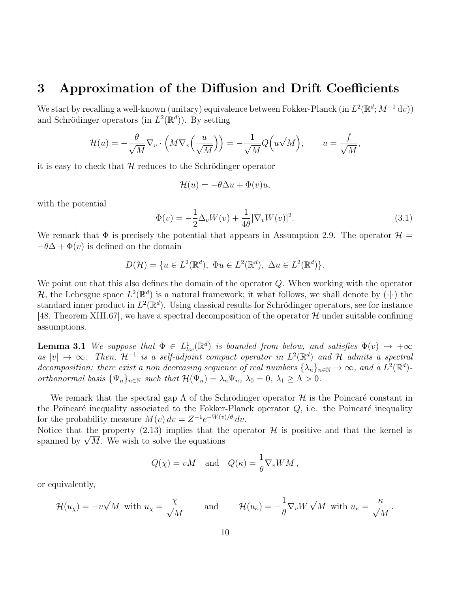# 3 Approximation of the Diffusion and Drift Coefficients

We start by recalling a well-known (unitary) equivalence between Fokker-Planck (in  $L^2(\mathbb{R}^d; M^{-1} dv)$ ) and Schrödinger operators (in  $L^2(\mathbb{R}^d)$ ). By setting

$$
\mathcal{H}(u) = -\frac{\theta}{\sqrt{M}} \nabla_v \cdot \left( M \nabla_v \left( \frac{u}{\sqrt{M}} \right) \right) = -\frac{1}{\sqrt{M}} Q\left( u \sqrt{M} \right), \qquad u = \frac{f}{\sqrt{M}}
$$

it is easy to check that  $H$  reduces to the Schrödinger operator

$$
\mathcal{H}(u) = -\theta \Delta u + \Phi(v)u,
$$

with the potential

$$
\Phi(v) = -\frac{1}{2}\Delta_v W(v) + \frac{1}{4\theta} |\nabla_v W(v)|^2.
$$
\n(3.1)

,

We remark that  $\Phi$  is precisely the potential that appears in Assumption 2.9. The operator  $\mathcal{H} =$  $-\theta\Delta + \Phi(v)$  is defined on the domain

$$
D(\mathcal{H}) = \{ u \in L^2(\mathbb{R}^d), \ \Phi u \in L^2(\mathbb{R}^d), \ \Delta u \in L^2(\mathbb{R}^d) \}.
$$

We point out that this also defines the domain of the operator  $Q$ . When working with the operator H, the Lebesgue space  $L^2(\mathbb{R}^d)$  is a natural framework; it what follows, we shall denote by  $\overline{(\cdot)}$  the standard inner product in  $L^2(\mathbb{R}^d)$ . Using classical results for Schrödinger operators, see for instance [48, Theorem XIII.67], we have a spectral decomposition of the operator  $\mathcal{H}$  under suitable confining assumptions.

**Lemma 3.1** We suppose that  $\Phi \in L^1_{loc}(\mathbb{R}^d)$  is bounded from below, and satisfies  $\Phi(v) \to +\infty$ as  $|v| \to \infty$ . Then,  $\mathcal{H}^{-1}$  is a self-adjoint compact operator in  $L^2(\mathbb{R}^d)$  and H admits a spectral decomposition: there exist a non decreasing sequence of real numbers  $\{\lambda_n\}_{n\in\mathbb{N}}\to\infty$ , and a  $L^2(\mathbb{R}^d)$ orthonormal basis  $\{\Psi_n\}_{n\in\mathbb{N}}$  such that  $\mathcal{H}(\Psi_n) = \lambda_n \Psi_n$ ,  $\lambda_0 = 0$ ,  $\lambda_1 \geq \Lambda > 0$ .

We remark that the spectral gap  $\Lambda$  of the Schrödinger operator H is the Poincaré constant in the Poincaré inequality associated to the Fokker-Planck operator  $Q$ , i.e. the Poincaré inequality for the probability measure  $M(v) dv = Z^{-1}e^{-W(v)/\theta} dv$ .

Notice that the property (2.13) implies that the operator  $\mathcal H$  is positive and that the kernel is Notice that the property  $(2.13)$  implies that the spanned by  $\sqrt{M}$ . We wish to solve the equations

$$
Q(\chi) = vM
$$
 and  $Q(\kappa) = \frac{1}{\theta} \nabla_v W M$ ,

or equivalently,

$$
\mathcal{H}(u_{\chi}) = -v\sqrt{M} \text{ with } u_{\chi} = \frac{\chi}{\sqrt{M}} \quad \text{and} \quad \mathcal{H}(u_{\kappa}) = -\frac{1}{\theta} \nabla_v W \sqrt{M} \text{ with } u_{\kappa} = \frac{\kappa}{\sqrt{M}}.
$$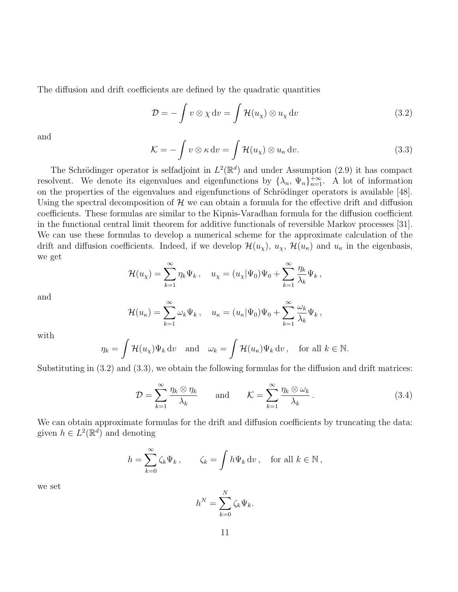The diffusion and drift coefficients are defined by the quadratic quantities

$$
\mathcal{D} = -\int v \otimes \chi dv = \int \mathcal{H}(u_{\chi}) \otimes u_{\chi} dv \qquad (3.2)
$$

and

$$
\mathcal{K} = -\int v \otimes \kappa \, dv = \int \mathcal{H}(u_{\chi}) \otimes u_{\kappa} \, dv. \tag{3.3}
$$

The Schrödinger operator is selfadjoint in  $L^2(\mathbb{R}^d)$  and under Assumption (2.9) it has compact resolvent. We denote its eigenvalues and eigenfunctions by  $\{\lambda_n, \Psi_n\}_{n=1}^{+\infty}$ . A lot of information on the properties of the eigenvalues and eigenfunctions of Schrödinger operators is available [48]. Using the spectral decomposition of  $\mathcal H$  we can obtain a formula for the effective drift and diffusion coefficients. These formulas are similar to the Kipnis-Varadhan formula for the diffusion coefficient in the functional central limit theorem for additive functionals of reversible Markov processes [31]. We can use these formulas to develop a numerical scheme for the approximate calculation of the drift and diffusion coefficients. Indeed, if we develop  $\mathcal{H}(u_\chi)$ ,  $u_\chi$ ,  $\mathcal{H}(u_\kappa)$  and  $u_\kappa$  in the eigenbasis, we get

$$
\mathcal{H}(u_{\chi}) = \sum_{k=1}^{\infty} \eta_k \Psi_k, \quad u_{\chi} = (u_{\chi}|\Psi_0)\Psi_0 + \sum_{k=1}^{\infty} \frac{\eta_k}{\lambda_k} \Psi_k,
$$

and

$$
\mathcal{H}(u_{\kappa}) = \sum_{k=1}^{\infty} \omega_k \Psi_k, \quad u_{\kappa} = (u_{\kappa}|\Psi_0)\Psi_0 + \sum_{k=1}^{\infty} \frac{\omega_k}{\lambda_k} \Psi_k,
$$

with

$$
\eta_k = \int \mathcal{H}(u_\chi)\Psi_k \, \mathrm{d}v \quad \text{and} \quad \omega_k = \int \mathcal{H}(u_\kappa)\Psi_k \, \mathrm{d}v \,, \quad \text{for all } k \in \mathbb{N}.
$$

Substituting in (3.2) and (3.3), we obtain the following formulas for the diffusion and drift matrices:

$$
\mathcal{D} = \sum_{k=1}^{\infty} \frac{\eta_k \otimes \eta_k}{\lambda_k} \quad \text{and} \quad \mathcal{K} = \sum_{k=1}^{\infty} \frac{\eta_k \otimes \omega_k}{\lambda_k} \,. \tag{3.4}
$$

We can obtain approximate formulas for the drift and diffusion coefficients by truncating the data: given  $h \in L^2(\mathbb{R}^d)$  and denoting

$$
h = \sum_{k=0}^{\infty} \zeta_k \Psi_k, \qquad \zeta_k = \int h \Psi_k \, \mathrm{d}v \,, \quad \text{for all } k \in \mathbb{N} \,,
$$

we set

$$
h^N = \sum_{k=0}^N \zeta_k \Psi_k.
$$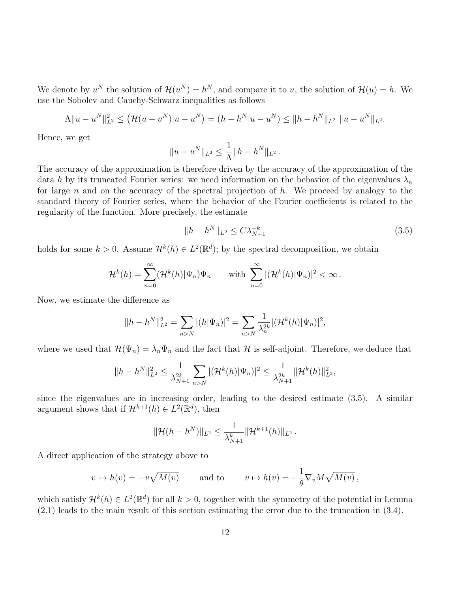We denote by  $u^N$  the solution of  $\mathcal{H}(u^N) = h^N$ , and compare it to u, the solution of  $\mathcal{H}(u) = h$ . We use the Sobolev and Cauchy-Schwarz inequalities as follows

$$
\Lambda \|u - u^N\|_{L^2}^2 \le \left(\mathcal{H}(u - u^N)|u - u^N\right) = (h - h^N|u - u^N) \le \|h - h^N\|_{L^2} \|u - u^N\|_{L^2}.
$$

Hence, we get

$$
||u - u^N||_{L^2} \leq \frac{1}{\Lambda} ||h - h^N||_{L^2}.
$$

The accuracy of the approximation is therefore driven by the accuracy of the approximation of the data h by its truncated Fourier series: we need information on the behavior of the eigenvalues  $\lambda_n$ for large n and on the accuracy of the spectral projection of h. We proceed by analogy to the standard theory of Fourier series, where the behavior of the Fourier coefficients is related to the regularity of the function. More precisely, the estimate

$$
||h - h^N||_{L^2} \le C\lambda_{N+1}^{-k} \tag{3.5}
$$

holds for some  $k > 0$ . Assume  $\mathcal{H}^k(h) \in L^2(\mathbb{R}^d)$ ; by the spectral decomposition, we obtain

$$
\mathcal{H}^k(h) = \sum_{n=0}^{\infty} (\mathcal{H}^k(h)|\Psi_n)\Psi_n \quad \text{with } \sum_{n=0}^{\infty} |(\mathcal{H}^k(h)|\Psi_n)|^2 < \infty.
$$

Now, we estimate the difference as

$$
||h - h^N||_{L^2}^2 = \sum_{n > N} |(h|\Psi_n)|^2 = \sum_{n > N} \frac{1}{\lambda_n^{2k}} |(\mathcal{H}^k(h)|\Psi_n)|^2,
$$

where we used that  $\mathcal{H}(\Psi_n) = \lambda_n \Psi_n$  and the fact that  $\mathcal H$  is self-adjoint. Therefore, we deduce that

$$
||h - h^N||_{L^2}^2 \le \frac{1}{\lambda_{N+1}^{2k}} \sum_{n > N} |(\mathcal{H}^k(h)|\Psi_n)|^2 \le \frac{1}{\lambda_{N+1}^{2k}} \|\mathcal{H}^k(h)\|_{L^2}^2,
$$

since the eigenvalues are in increasing order, leading to the desired estimate (3.5). A similar argument shows that if  $\mathcal{H}^{k+1}(h) \in L^2(\mathbb{R}^d)$ , then

$$
\|\mathcal{H}(h-h^N)\|_{L^2}\leq \frac{1}{\lambda_{N+1}^k}\|\mathcal{H}^{k+1}(h)\|_{L^2}.
$$

A direct application of the strategy above to

$$
v \mapsto h(v) = -v\sqrt{M(v)}
$$
 and to  $v \mapsto h(v) = -\frac{1}{\theta} \nabla_v M \sqrt{M(v)}$ ,

which satisfy  $\mathcal{H}^k(h) \in L^2(\mathbb{R}^d)$  for all  $k > 0$ , together with the symmetry of the potential in Lemma (2.1) leads to the main result of this section estimating the error due to the truncation in (3.4).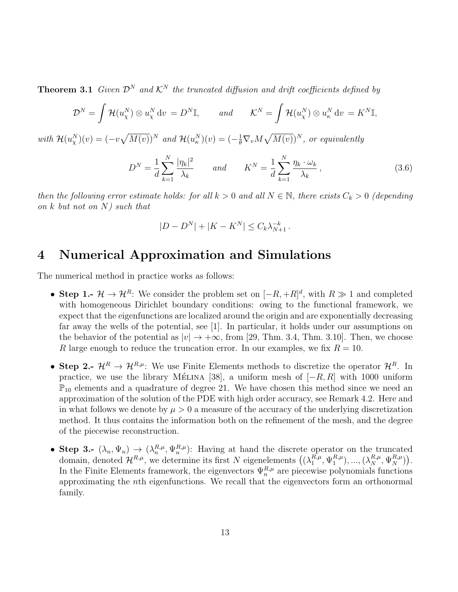**Theorem 3.1** Given  $\mathcal{D}^N$  and  $\mathcal{K}^N$  the truncated diffusion and drift coefficients defined by

$$
\mathcal{D}^{N} = \int \mathcal{H}(u_{\chi}^{N}) \otimes u_{\chi}^{N} dv = D^{N} \mathbb{I}, \quad \text{and} \quad \mathcal{K}^{N} = \int \mathcal{H}(u_{\chi}^{N}) \otimes u_{\kappa}^{N} dv = K^{N} \mathbb{I},
$$
  
with  $\mathcal{H}(u_{\chi}^{N})(v) = (-v\sqrt{M(v)})^{N}$  and  $\mathcal{H}(u_{\kappa}^{N})(v) = (-\frac{1}{\theta}\nabla_{v}M\sqrt{M(v)})^{N}$ , or equivalently  

$$
D^{N} = \frac{1}{d} \sum_{k=1}^{N} \frac{|\eta_{k}|^{2}}{\lambda_{k}} \quad \text{and} \quad K^{N} = \frac{1}{d} \sum_{k=1}^{N} \frac{\eta_{k} \cdot \omega_{k}}{\lambda_{k}}, \quad (3.6)
$$

then the following error estimate holds: for all  $k > 0$  and all  $N \in \mathbb{N}$ , there exists  $C_k > 0$  (depending on k but not on N) such that

$$
|D - D^N| + |K - K^N| \le C_k \lambda_{N+1}^{-k}.
$$

## 4 Numerical Approximation and Simulations

The numerical method in practice works as follows:

- Step 1.-  $\mathcal{H} \to \mathcal{H}^R$ : We consider the problem set on  $[-R, +R]^d$ , with  $R \gg 1$  and completed with homogeneous Dirichlet boundary conditions: owing to the functional framework, we expect that the eigenfunctions are localized around the origin and are exponentially decreasing far away the wells of the potential, see [1]. In particular, it holds under our assumptions on the behavior of the potential as  $|v| \to +\infty$ , from [29, Thm. 3.4, Thm. 3.10]. Then, we choose R large enough to reduce the truncation error. In our examples, we fix  $R = 10$ .
- Step 2.-  $\mathcal{H}^R \to \mathcal{H}^{R,\mu}$ : We use Finite Elements methods to discretize the operator  $\mathcal{H}^R$ . In practice, we use the library MELINA [38], a uniform mesh of  $[-R, R]$  with 1000 uniform  $\mathbb{P}_{10}$  elements and a quadrature of degree 21. We have chosen this method since we need an approximation of the solution of the PDE with high order accuracy, see Remark 4.2. Here and in what follows we denote by  $\mu > 0$  a measure of the accuracy of the underlying discretization method. It thus contains the information both on the refinement of the mesh, and the degree of the piecewise reconstruction.
- Step 3.-  $(\lambda_n, \Psi_n) \to (\lambda_n^{R,\mu}, \Psi_n^{R,\mu})$ : Having at hand the discrete operator on the truncated domain, denoted  $\mathcal{H}^{R,\mu}$ , we determine its first N eigenelements  $((\lambda_1^{R,\mu},$  $_{1}^{R,\mu},\Psi_{1}^{R,\mu}$  $\binom{R,\mu}{1},...,\left(\lambda_{N}^{R,\mu},\Psi_{N}^{R,\mu}\right).$ In the Finite Elements framework, the eigenvectors  $\Psi_n^{R,\mu}$  are piecewise polynomials functions approximating the nth eigenfunctions. We recall that the eigenvectors form an orthonormal family.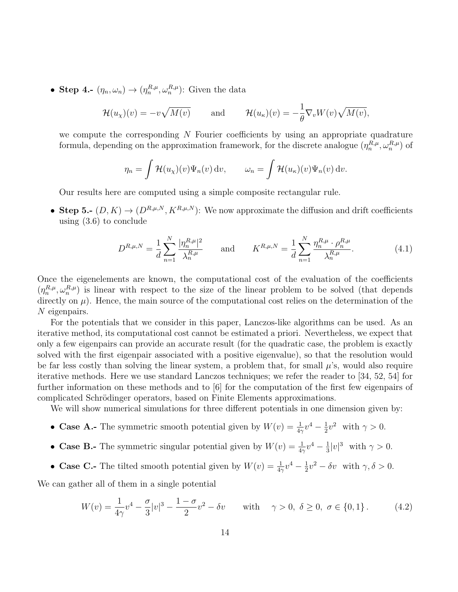• Step 4.-  $(\eta_n, \omega_n) \to (\eta_n^{R,\mu}, \omega_n^{R,\mu})$ : Given the data

$$
\mathcal{H}(u_{\chi})(v) = -v\sqrt{M(v)} \quad \text{and} \quad \mathcal{H}(u_{\kappa})(v) = -\frac{1}{\theta}\nabla_v W(v)\sqrt{M(v)},
$$

we compute the corresponding  $N$  Fourier coefficients by using an appropriate quadrature formula, depending on the approximation framework, for the discrete analogue  $(\eta_n^{R,\mu}, \omega_n^{R,\mu})$  of

$$
\eta_n = \int \mathcal{H}(u_\chi)(v)\Psi_n(v) dv, \qquad \omega_n = \int \mathcal{H}(u_\kappa)(v)\Psi_n(v) dv.
$$

Our results here are computed using a simple composite rectangular rule.

• Step 5.-  $(D, K) \rightarrow (D^{R,\mu,N}, K^{R,\mu,N})$ : We now approximate the diffusion and drift coefficients using (3.6) to conclude

$$
D^{R,\mu,N} = \frac{1}{d} \sum_{n=1}^{N} \frac{|\eta_n^{R,\mu}|^2}{\lambda_n^{R,\mu}} \quad \text{and} \quad K^{R,\mu,N} = \frac{1}{d} \sum_{n=1}^{N} \frac{\eta_n^{R,\mu} \cdot \rho_n^{R,\mu}}{\lambda_n^{R,\mu}}.
$$
(4.1)

Once the eigenelements are known, the computational cost of the evaluation of the coefficients  $(\eta_n^{R,\mu}, \omega_n^{R,\mu})$  is linear with respect to the size of the linear problem to be solved (that depends directly on  $\mu$ ). Hence, the main source of the computational cost relies on the determination of the N eigenpairs.

For the potentials that we consider in this paper, Lanczos-like algorithms can be used. As an iterative method, its computational cost cannot be estimated a priori. Nevertheless, we expect that only a few eigenpairs can provide an accurate result (for the quadratic case, the problem is exactly solved with the first eigenpair associated with a positive eigenvalue), so that the resolution would be far less costly than solving the linear system, a problem that, for small  $\mu$ 's, would also require iterative methods. Here we use standard Lanczos techniques; we refer the reader to [34, 52, 54] for further information on these methods and to [6] for the computation of the first few eigenpairs of complicated Schrödinger operators, based on Finite Elements approximations.

We will show numerical simulations for three different potentials in one dimension given by:

- Case A.- The symmetric smooth potential given by  $W(v) = \frac{1}{4\gamma}v^4 \frac{1}{2}$  $\frac{1}{2}v^2$  with  $\gamma > 0$ .
- Case B.- The symmetric singular potential given by  $W(v) = \frac{1}{4\gamma}v^4 \frac{1}{3}$  $\frac{1}{3}|v|^3$  with  $\gamma > 0$ .
- Case C.- The tilted smooth potential given by  $W(v) = \frac{1}{4\gamma}v^4 \frac{1}{2}$  $\frac{1}{2}v^2 - \delta v$  with  $\gamma, \delta > 0$ .

We can gather all of them in a single potential

$$
W(v) = \frac{1}{4\gamma}v^4 - \frac{\sigma}{3}|v|^3 - \frac{1-\sigma}{2}v^2 - \delta v \quad \text{with} \quad \gamma > 0, \ \delta \ge 0, \ \sigma \in \{0, 1\}.
$$
 (4.2)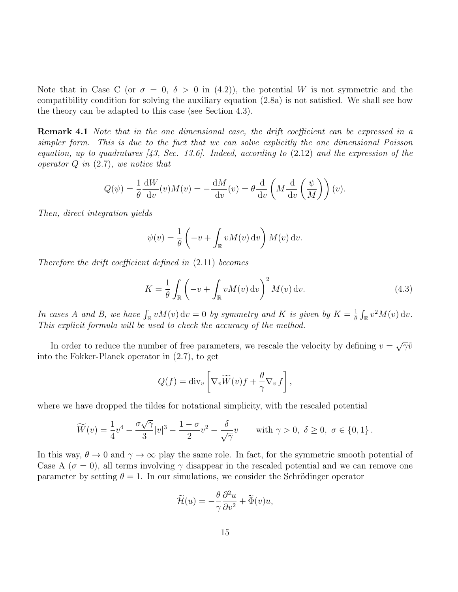Note that in Case C (or  $\sigma = 0$ ,  $\delta > 0$  in (4.2)), the potential W is not symmetric and the compatibility condition for solving the auxiliary equation (2.8a) is not satisfied. We shall see how the theory can be adapted to this case (see Section 4.3).

Remark 4.1 Note that in the one dimensional case, the drift coefficient can be expressed in a simpler form. This is due to the fact that we can solve explicitly the one dimensional Poisson equation, up to quadratures  $(43, Sec. 13.6)$ . Indeed, according to  $(2.12)$  and the expression of the operator  $Q$  in  $(2.7)$ , we notice that

$$
Q(\psi) = \frac{1}{\theta} \frac{dW}{dv}(v)M(v) = -\frac{dM}{dv}(v) = \theta \frac{d}{dv} \left( M \frac{d}{dv} \left( \frac{\psi}{M} \right) \right)(v).
$$

Then, direct integration yields

$$
\psi(v) = \frac{1}{\theta} \left( -v + \int_{\mathbb{R}} v M(v) \, \mathrm{d}v \right) M(v) \, \mathrm{d}v.
$$

Therefore the drift coefficient defined in (2.11) becomes

$$
K = \frac{1}{\theta} \int_{\mathbb{R}} \left( -v + \int_{\mathbb{R}} v M(v) \, \mathrm{d}v \right)^2 M(v) \, \mathrm{d}v. \tag{4.3}
$$

In cases A and B, we have  $\int_{\mathbb{R}} v M(v) dv = 0$  by symmetry and K is given by  $K = \frac{1}{\theta}$  $\frac{1}{\theta} \int_{\mathbb{R}} v^2 M(v) \, \mathrm{d}v.$ This explicit formula will be used to check the accuracy of the method.

In order to reduce the number of free parameters, we rescale the velocity by defining  $v = \sqrt{\gamma} \tilde{v}$ into the Fokker-Planck operator in (2.7), to get

$$
Q(f) = \operatorname{div}_v \left[ \nabla_v \widetilde{W}(v) f + \frac{\theta}{\gamma} \nabla_v f \right],
$$

where we have dropped the tildes for notational simplicity, with the rescaled potential

$$
\widetilde{W}(v) = \frac{1}{4}v^4 - \frac{\sigma\sqrt{\gamma}}{3}|v|^3 - \frac{1-\sigma}{2}v^2 - \frac{\delta}{\sqrt{\gamma}}v \quad \text{with } \gamma > 0, \ \delta \ge 0, \ \sigma \in \{0, 1\}.
$$

In this way,  $\theta \to 0$  and  $\gamma \to \infty$  play the same role. In fact, for the symmetric smooth potential of Case A ( $\sigma = 0$ ), all terms involving  $\gamma$  disappear in the rescaled potential and we can remove one parameter by setting  $\theta = 1$ . In our simulations, we consider the Schrödinger operator

$$
\widetilde{\mathcal{H}}(u) = -\frac{\theta}{\gamma} \frac{\partial^2 u}{\partial v^2} + \widetilde{\Phi}(v)u,
$$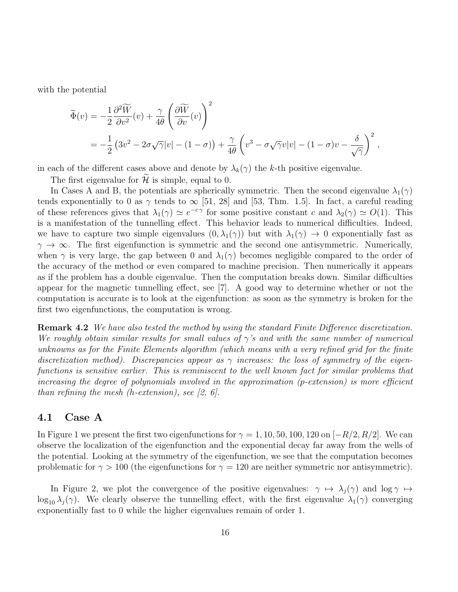with the potential

$$
\widetilde{\Phi}(v) = -\frac{1}{2} \frac{\partial^2 \widetilde{W}}{\partial v^2}(v) + \frac{\gamma}{4\theta} \left( \frac{\partial \widetilde{W}}{\partial v}(v) \right)^2
$$
  
=  $-\frac{1}{2} \left( 3v^2 - 2\sigma \sqrt{\gamma} |v| - (1 - \sigma) \right) + \frac{\gamma}{4\theta} \left( v^3 - \sigma \sqrt{\gamma} v |v| - (1 - \sigma) v - \frac{\delta}{\sqrt{\gamma}} \right)^2$ ,

in each of the different cases above and denote by  $\lambda_k(\gamma)$  the k-th positive eigenvalue.

The first eigenvalue for  $\mathcal{H}$  is simple, equal to 0.

In Cases A and B, the potentials are spherically symmetric. Then the second eigenvalue  $\lambda_1(\gamma)$ tends exponentially to 0 as  $\gamma$  tends to  $\infty$  [51, 28] and [53, Thm. 1.5]. In fact, a careful reading of these references gives that  $\lambda_1(\gamma) \simeq e^{-c\gamma}$  for some positive constant c and  $\lambda_2(\gamma) \simeq O(1)$ . This is a manifestation of the tunnelling effect. This behavior leads to numerical difficulties. Indeed, we have to capture two simple eigenvalues  $(0, \lambda_1(\gamma))$  but with  $\lambda_1(\gamma) \to 0$  exponentially fast as  $\gamma \to \infty$ . The first eigenfunction is symmetric and the second one antisymmetric. Numerically, when  $\gamma$  is very large, the gap between 0 and  $\lambda_1(\gamma)$  becomes negligible compared to the order of the accuracy of the method or even compared to machine precision. Then numerically it appears as if the problem has a double eigenvalue. Then the computation breaks down. Similar difficulties appear for the magnetic tunnelling effect, see [7]. A good way to determine whether or not the computation is accurate is to look at the eigenfunction: as soon as the symmetry is broken for the first two eigenfunctions, the computation is wrong.

Remark 4.2 We have also tested the method by using the standard Finite Difference discretization. We roughly obtain similar results for small values of  $\gamma$ 's and with the same number of numerical unknowns as for the Finite Elements algorithm (which means with a very refined grid for the finite discretization method). Discrepancies appear as  $\gamma$  increases: the loss of symmetry of the eigenfunctions is sensitive earlier. This is reminiscent to the well known fact for similar problems that increasing the degree of polynomials involved in the approximation (p-extension) is more efficient than refining the mesh (h-extension), see  $[2, 6]$ .

### 4.1 Case A

In Figure 1 we present the first two eigenfunctions for  $\gamma = 1, 10, 50, 100, 120$  on  $[-R/2, R/2]$ . We can observe the localization of the eigenfunction and the exponential decay far away from the wells of the potential. Looking at the symmetry of the eigenfunction, we see that the computation becomes problematic for  $\gamma > 100$  (the eigenfunctions for  $\gamma = 120$  are neither symmetric nor antisymmetric).

In Figure 2, we plot the convergence of the positive eigenvalues:  $\gamma \mapsto \lambda_i(\gamma)$  and  $\log \gamma \mapsto$  $\log_{10} \lambda_i(\gamma)$ . We clearly observe the tunnelling effect, with the first eigenvalue  $\lambda_1(\gamma)$  converging exponentially fast to 0 while the higher eigenvalues remain of order 1.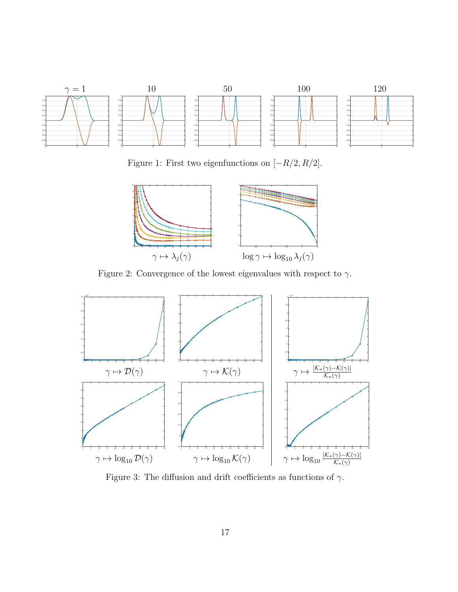

Figure 1: First two eigenfunctions on  $[-R/2, R/2]$ .



Figure 2: Convergence of the lowest eigenvalues with respect to  $\gamma.$ 



Figure 3: The diffusion and drift coefficients as functions of  $\gamma$ .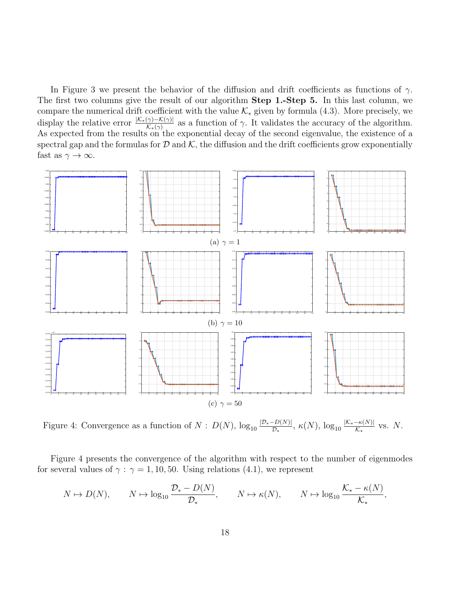In Figure 3 we present the behavior of the diffusion and drift coefficients as functions of  $\gamma$ . The first two columns give the result of our algorithm **Step 1.-Step 5.** In this last column, we compare the numerical drift coefficient with the value  $\mathcal{K}_{*}$  given by formula (4.3). More precisely, we display the relative error  $\frac{K_*(\gamma)-K(\gamma)}{K_*(\gamma)}$  as a function of  $\gamma$ . It validates the accuracy of the algorithm. As expected from the results on the exponential decay of the second eigenvalue, the existence of a spectral gap and the formulas for  $D$  and  $K$ , the diffusion and the drift coefficients grow exponentially fast as  $\gamma \to \infty$ .



Figure 4: Convergence as a function of  $N: D(N)$ ,  $\log_{10} \frac{|D_{*}-D(N)|}{D_{*}}$  $\frac{-D(N)|}{\mathcal{D}_*}, \ \kappa(N), \ \log_{10}\frac{|\mathcal{K}_*-\kappa(N)|}{\mathcal{K}_*}$  $\frac{-\kappa(N)}{\kappa_*}$  vs. N.

Figure 4 presents the convergence of the algorithm with respect to the number of eigenmodes for several values of  $\gamma$ :  $\gamma = 1, 10, 50$ . Using relations (4.1), we represent

$$
N \mapsto D(N), \qquad N \mapsto \log_{10} \frac{\mathcal{D}_{*} - D(N)}{\mathcal{D}_{*}}, \qquad N \mapsto \kappa(N), \qquad N \mapsto \log_{10} \frac{\mathcal{K}_{*} - \kappa(N)}{\mathcal{K}_{*}},
$$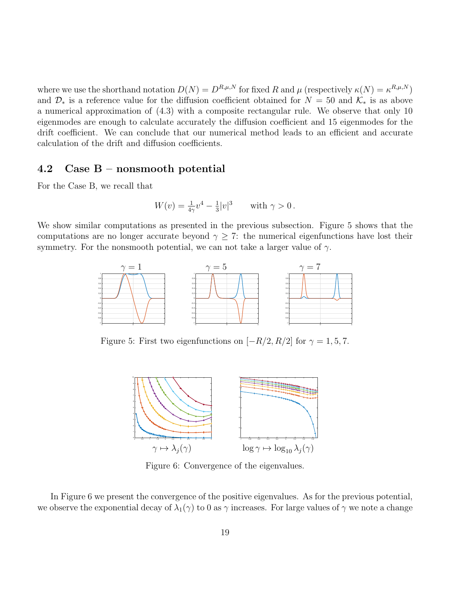where we use the shorthand notation  $D(N) = D^{R,\mu,N}$  for fixed R and  $\mu$  (respectively  $\kappa(N) = \kappa^{R,\mu,N}$ ) and  $\mathcal{D}_*$  is a reference value for the diffusion coefficient obtained for  $N = 50$  and  $\mathcal{K}_*$  is as above a numerical approximation of (4.3) with a composite rectangular rule. We observe that only 10 eigenmodes are enough to calculate accurately the diffusion coefficient and 15 eigenmodes for the drift coefficient. We can conclude that our numerical method leads to an efficient and accurate calculation of the drift and diffusion coefficients.

### 4.2 Case B – nonsmooth potential

For the Case B, we recall that

$$
W(v) = \frac{1}{4\gamma}v^4 - \frac{1}{3}|v|^3
$$
 with  $\gamma > 0$ .

We show similar computations as presented in the previous subsection. Figure 5 shows that the computations are no longer accurate beyond  $\gamma \geq 7$ : the numerical eigenfunctions have lost their symmetry. For the nonsmooth potential, we can not take a larger value of  $\gamma$ .



Figure 5: First two eigenfunctions on  $[-R/2, R/2]$  for  $\gamma = 1, 5, 7$ .



Figure 6: Convergence of the eigenvalues.

In Figure 6 we present the convergence of the positive eigenvalues. As for the previous potential, we observe the exponential decay of  $\lambda_1(\gamma)$  to 0 as  $\gamma$  increases. For large values of  $\gamma$  we note a change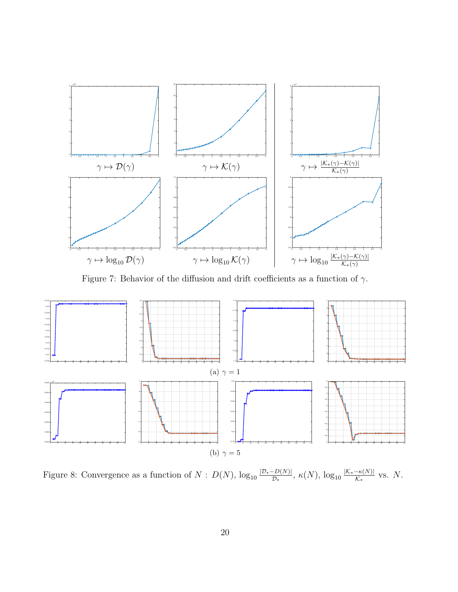

Figure 7: Behavior of the diffusion and drift coefficients as a function of  $\gamma$ .



Figure 8: Convergence as a function of  $N: D(N)$ ,  $\log_{10} \frac{|D_{*}-D(N)|}{D_{*}}$  $\frac{|D(N)|}{\mathcal{D}_*}, \ \kappa(N), \ \log_{10}\frac{|\mathcal{K}_*-\kappa(N)|}{\mathcal{K}_*}$  $\frac{-\kappa(N)}{\mathcal{K}_*}$  vs. N.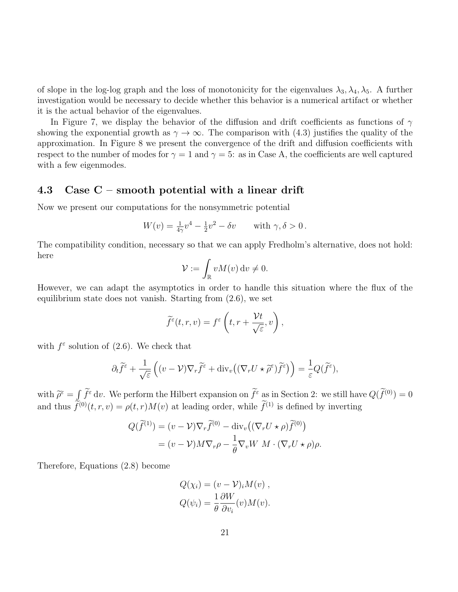of slope in the log-log graph and the loss of monotonicity for the eigenvalues  $\lambda_3, \lambda_4, \lambda_5$ . A further investigation would be necessary to decide whether this behavior is a numerical artifact or whether it is the actual behavior of the eigenvalues.

In Figure 7, we display the behavior of the diffusion and drift coefficients as functions of  $\gamma$ showing the exponential growth as  $\gamma \to \infty$ . The comparison with (4.3) justifies the quality of the approximation. In Figure 8 we present the convergence of the drift and diffusion coefficients with respect to the number of modes for  $\gamma = 1$  and  $\gamma = 5$ : as in Case A, the coefficients are well captured with a few eigenmodes.

## 4.3 Case C – smooth potential with a linear drift

Now we present our computations for the nonsymmetric potential

$$
W(v) = \frac{1}{4\gamma}v^4 - \frac{1}{2}v^2 - \delta v
$$
 with  $\gamma, \delta > 0$ .

The compatibility condition, necessary so that we can apply Fredholm's alternative, does not hold: here

$$
\mathcal{V} := \int_{\mathbb{R}} v M(v) \, \mathrm{d}v \neq 0.
$$

However, we can adapt the asymptotics in order to handle this situation where the flux of the equilibrium state does not vanish. Starting from (2.6), we set

$$
\widetilde{f}^{\varepsilon}(t,r,v)=f^{\varepsilon}\left(t,r+\frac{\mathcal{V}t}{\sqrt{\varepsilon}},v\right),\,
$$

with  $f^{\epsilon}$  solution of (2.6). We check that

$$
\partial_t \widetilde{f}^\varepsilon + \frac{1}{\sqrt{\varepsilon}} \left( (v - \mathcal{V}) \nabla_r \widetilde{f}^\varepsilon + \text{div}_v \left( (\nabla_r U \star \widetilde{\rho}^\varepsilon) \widetilde{f}^\varepsilon \right) \right) = \frac{1}{\varepsilon} Q(\widetilde{f}^\varepsilon),
$$

with  $\widetilde{\rho}^{\varepsilon} = \int \widetilde{f}^{\varepsilon} dv$ . We perform the Hilbert expansion on  $\widetilde{f}^{\varepsilon}$  as in Section 2: we still have  $Q(\widetilde{f}^{(0)}) = 0$ and thus  $f^{(0)}(t, r, v) = \rho(t, r)M(v)$  at leading order, while  $f^{(1)}$  is defined by inverting

$$
Q(\widetilde{f}^{(1)}) = (v - \mathcal{V})\nabla_r \widetilde{f}^{(0)} - \text{div}_v((\nabla_r U \star \rho) \widetilde{f}^{(0)})
$$
  
=  $(v - \mathcal{V})M\nabla_r \rho - \frac{1}{\theta}\nabla_v W M \cdot (\nabla_r U \star \rho) \rho.$ 

Therefore, Equations (2.8) become

$$
Q(\chi_i) = (v - \mathcal{V})_i M(v) ,
$$
  

$$
Q(\psi_i) = \frac{1}{\theta} \frac{\partial W}{\partial v_i}(v) M(v) .
$$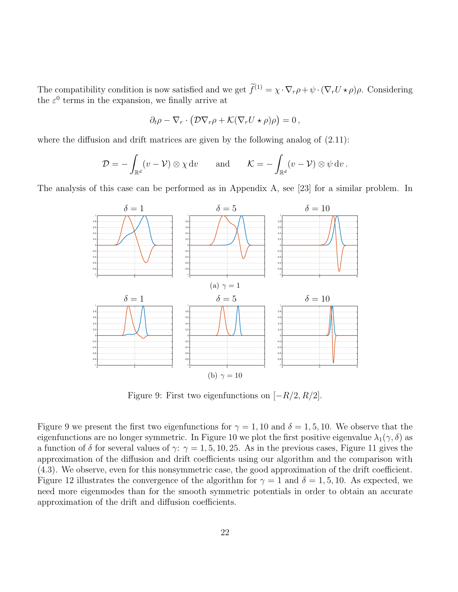The compatibility condition is now satisfied and we get  $\tilde{f}^{(1)} = \chi \cdot \nabla_r \rho + \psi \cdot (\nabla_r U \star \rho) \rho$ . Considering the  $\varepsilon^0$  terms in the expansion, we finally arrive at

$$
\partial_t \rho - \nabla_r \cdot \left( \mathcal{D} \nabla_r \rho + \mathcal{K} (\nabla_r U \star \rho) \rho \right) = 0,
$$

where the diffusion and drift matrices are given by the following analog of  $(2.11)$ :

$$
\mathcal{D} = -\int_{\mathbb{R}^d} (v - \mathcal{V}) \otimes \chi \, \mathrm{d}v \qquad \text{and} \qquad \mathcal{K} = -\int_{\mathbb{R}^d} (v - \mathcal{V}) \otimes \psi \, \mathrm{d}v \, .
$$

The analysis of this case can be performed as in Appendix A, see [23] for a similar problem. In



Figure 9: First two eigenfunctions on  $[-R/2, R/2]$ .

Figure 9 we present the first two eigenfunctions for  $\gamma = 1, 10$  and  $\delta = 1, 5, 10$ . We observe that the eigenfunctions are no longer symmetric. In Figure 10 we plot the first positive eigenvalue  $\lambda_1(\gamma, \delta)$  as a function of  $\delta$  for several values of  $\gamma$ :  $\gamma = 1, 5, 10, 25$ . As in the previous cases, Figure 11 gives the approximation of the diffusion and drift coefficients using our algorithm and the comparison with (4.3). We observe, even for this nonsymmetric case, the good approximation of the drift coefficient. Figure 12 illustrates the convergence of the algorithm for  $\gamma = 1$  and  $\delta = 1, 5, 10$ . As expected, we need more eigenmodes than for the smooth symmetric potentials in order to obtain an accurate approximation of the drift and diffusion coefficients.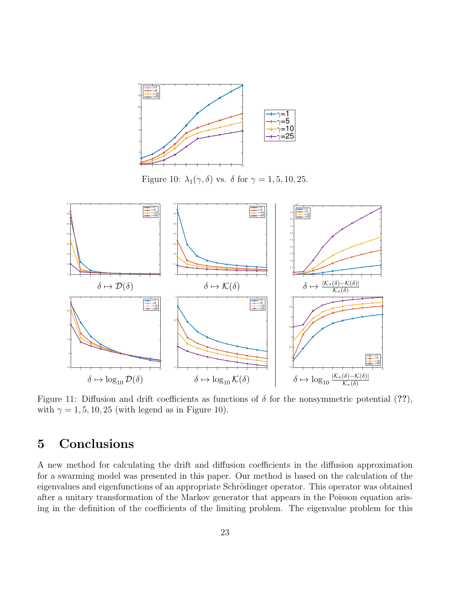

Figure 10:  $\lambda_1(\gamma, \delta)$  vs.  $\delta$  for  $\gamma = 1, 5, 10, 25$ .



Figure 11: Diffusion and drift coefficients as functions of  $\delta$  for the nonsymmetric potential (??), with  $\gamma = 1, 5, 10, 25$  (with legend as in Figure 10).

# 5 Conclusions

A new method for calculating the drift and diffusion coefficients in the diffusion approximation for a swarming model was presented in this paper. Our method is based on the calculation of the eigenvalues and eigenfunctions of an appropriate Schrödinger operator. This operator was obtained after a unitary transformation of the Markov generator that appears in the Poisson equation arising in the definition of the coefficients of the limiting problem. The eigenvalue problem for this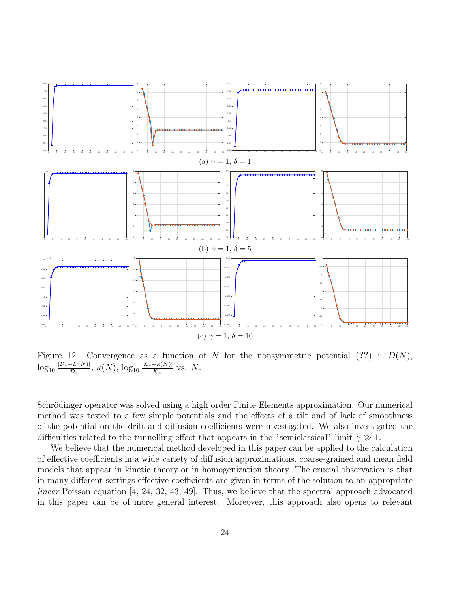

Figure 12: Convergence as a function of N for the nonsymmetric potential  $(??)$ :  $D(N)$ ,  $\log_{10}\frac{\left|\mathcal{D}_{\ast}-D(N)\right|}{\mathcal{D}_{\ast}}$  $\frac{-D(N)|}{\mathcal{D}_*}, \ \kappa(N), \ \log_{10}\frac{|\mathcal{K}_*-\kappa(N)|}{\mathcal{K}_*}$  $\frac{-\kappa(N)}{\kappa_*}$  vs. N.

Schrödinger operator was solved using a high order Finite Elements approximation. Our numerical method was tested to a few simple potentials and the effects of a tilt and of lack of smoothness of the potential on the drift and diffusion coefficients were investigated. We also investigated the difficulties related to the tunnelling effect that appears in the "semiclassical" limit  $\gamma \gg 1$ .

We believe that the numerical method developed in this paper can be applied to the calculation of effective coefficients in a wide variety of diffusion approximations, coarse-grained and mean field models that appear in kinetic theory or in homogenization theory. The crucial observation is that in many different settings effective coefficients are given in terms of the solution to an appropriate linear Poisson equation [4, 24, 32, 43, 49]. Thus, we believe that the spectral approach advocated in this paper can be of more general interest. Moreover, this approach also opens to relevant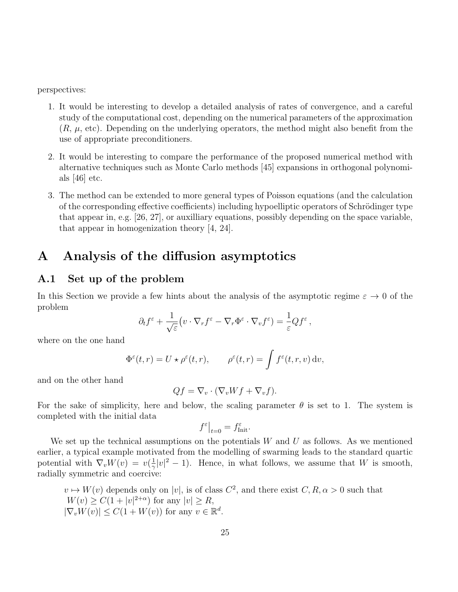perspectives:

- 1. It would be interesting to develop a detailed analysis of rates of convergence, and a careful study of the computational cost, depending on the numerical parameters of the approximation  $(R, \mu, \text{etc})$ . Depending on the underlying operators, the method might also benefit from the use of appropriate preconditioners.
- 2. It would be interesting to compare the performance of the proposed numerical method with alternative techniques such as Monte Carlo methods [45] expansions in orthogonal polynomials [46] etc.
- 3. The method can be extended to more general types of Poisson equations (and the calculation of the corresponding effective coefficients) including hypoelliptic operators of Schrödinger type that appear in, e.g. [26, 27], or auxilliary equations, possibly depending on the space variable, that appear in homogenization theory [4, 24].

# A Analysis of the diffusion asymptotics

## A.1 Set up of the problem

In this Section we provide a few hints about the analysis of the asymptotic regime  $\varepsilon \to 0$  of the problem

$$
\partial_t f^{\varepsilon} + \frac{1}{\sqrt{\varepsilon}} \big( v \cdot \nabla_r f^{\varepsilon} - \nabla_r \Phi^{\varepsilon} \cdot \nabla_v f^{\varepsilon} \big) = \frac{1}{\varepsilon} Q f^{\varepsilon} ,
$$

where on the one hand

$$
\Phi^{\varepsilon}(t,r) = U \star \rho^{\varepsilon}(t,r), \qquad \rho^{\varepsilon}(t,r) = \int f^{\varepsilon}(t,r,v) dv,
$$

and on the other hand

$$
Qf = \nabla_v \cdot (\nabla_v Wf + \nabla_v f).
$$

For the sake of simplicity, here and below, the scaling parameter  $\theta$  is set to 1. The system is completed with the initial data

$$
f^{\varepsilon}|_{t=0} = f^{\varepsilon}_{\text{Init}}.
$$

We set up the technical assumptions on the potentials  $W$  and  $U$  as follows. As we mentioned earlier, a typical example motivated from the modelling of swarming leads to the standard quartic potential with  $\nabla_v W(v) = v(\frac{1}{\gamma})$  $\frac{1}{\gamma}|v|^2-1$ ). Hence, in what follows, we assume that W is smooth, radially symmetric and coercive:

 $v \mapsto W(v)$  depends only on  $|v|$ , is of class  $C^2$ , and there exist  $C, R, \alpha > 0$  such that  $W(v) \geq C(1+|v|^{2+\alpha})$  for any  $|v| \geq R$ ,  $|\nabla_v W(v)| \leq C(1 + W(v))$  for any  $v \in \mathbb{R}^d$ .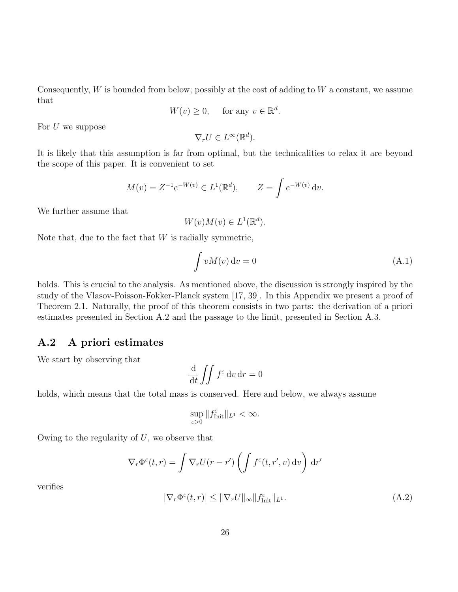Consequently,  $W$  is bounded from below; possibly at the cost of adding to  $W$  a constant, we assume that

$$
W(v) \ge 0, \quad \text{ for any } v \in \mathbb{R}^d.
$$

For  $U$  we suppose

$$
\nabla_r U \in L^\infty(\mathbb{R}^d).
$$

It is likely that this assumption is far from optimal, but the technicalities to relax it are beyond the scope of this paper. It is convenient to set

$$
M(v) = Z^{-1}e^{-W(v)} \in L^1(\mathbb{R}^d), \qquad Z = \int e^{-W(v)} dv.
$$

We further assume that

$$
W(v)M(v) \in L^1(\mathbb{R}^d).
$$

Note that, due to the fact that  $W$  is radially symmetric,

$$
\int vM(v) dv = 0 \tag{A.1}
$$

holds. This is crucial to the analysis. As mentioned above, the discussion is strongly inspired by the study of the Vlasov-Poisson-Fokker-Planck system [17, 39]. In this Appendix we present a proof of Theorem 2.1. Naturally, the proof of this theorem consists in two parts: the derivation of a priori estimates presented in Section A.2 and the passage to the limit, presented in Section A.3.

### A.2 A priori estimates

We start by observing that

$$
\frac{\mathrm{d}}{\mathrm{d}t} \iint f^\varepsilon \, \mathrm{d}v \, \mathrm{d}r = 0
$$

holds, which means that the total mass is conserved. Here and below, we always assume

$$
\sup_{\varepsilon>0}||f_{\text{Init}}^{\varepsilon}||_{L^1}<\infty.
$$

Owing to the regularity of  $U$ , we observe that

$$
\nabla_r \Phi^{\varepsilon}(t,r) = \int \nabla_r U(r-r') \left( \int f^{\varepsilon}(t,r',v) dv \right) dr'
$$

verifies

$$
|\nabla_r \Phi^{\varepsilon}(t, r)| \leq ||\nabla_r U||_{\infty} ||f_{\text{Init}}^{\varepsilon}||_{L^1}.
$$
\n(A.2)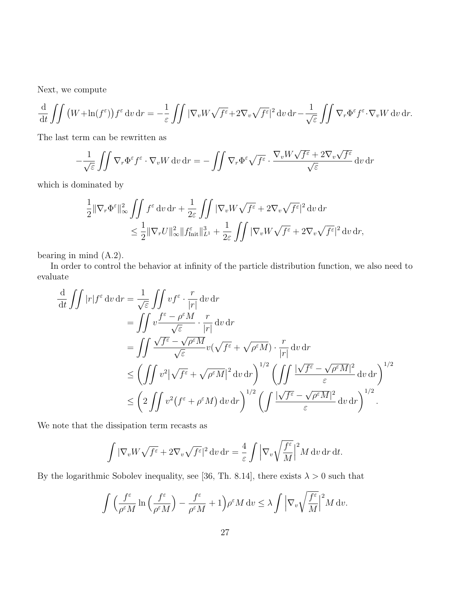Next, we compute

$$
\frac{\mathrm{d}}{\mathrm{d}t} \iint \left( W + \ln(f^{\varepsilon}) \right) f^{\varepsilon} \, \mathrm{d}v \, \mathrm{d}r = -\frac{1}{\varepsilon} \iint \left| \nabla_v W \sqrt{f^{\varepsilon}} + 2 \nabla_v \sqrt{f^{\varepsilon}} \right|^2 \mathrm{d}v \, \mathrm{d}r - \frac{1}{\sqrt{\varepsilon}} \iint \nabla_r \Phi^{\varepsilon} f^{\varepsilon} \cdot \nabla_v W \, \mathrm{d}v \, \mathrm{d}r.
$$

The last term can be rewritten as

$$
-\frac{1}{\sqrt{\varepsilon}}\iint \nabla_r \Phi^\varepsilon f^\varepsilon \cdot \nabla_v W \, dv \, dr = -\iint \nabla_r \Phi^\varepsilon \sqrt{f^\varepsilon} \cdot \frac{\nabla_v W \sqrt{f^\varepsilon} + 2\nabla_v \sqrt{f^\varepsilon}}{\sqrt{\varepsilon}} \, dv \, dr
$$

which is dominated by

$$
\begin{aligned} \frac{1}{2} \|\nabla_r \Phi^\varepsilon\|^2_\infty & \int\!\!\!\int f^\varepsilon \mathop{}\!\mathrm{d} v \mathop{}\!\mathrm{d} r + \frac{1}{2\varepsilon} \int\!\!\!\int |\nabla_v W \sqrt{f^\varepsilon} + 2 \nabla_v \sqrt{f^\varepsilon}|^2 \mathop{}\!\mathrm{d} v \mathop{}\!\mathrm{d} r \\ & \leq \frac{1}{2} \|\nabla_r U\|^2_\infty \|f_\mathrm{Init}^\varepsilon\|^3_{L^1} + \frac{1}{2\varepsilon} \int\!\!\!\int |\nabla_v W \sqrt{f^\varepsilon} + 2 \nabla_v \sqrt{f^\varepsilon}|^2 \mathop{}\!\mathrm{d} v \mathop{}\!\mathrm{d} r, \end{aligned}
$$

bearing in mind (A.2).

In order to control the behavior at infinity of the particle distribution function, we also need to evaluate

$$
\frac{d}{dt} \iint |r| f^{\varepsilon} dv dr = \frac{1}{\sqrt{\varepsilon}} \iint v f^{\varepsilon} \cdot \frac{r}{|r|} dv dr \n= \iint v \frac{f^{\varepsilon} - \rho^{\varepsilon} M}{\sqrt{\varepsilon}} \cdot \frac{r}{|r|} dv dr \n= \iint \frac{\sqrt{f^{\varepsilon}} - \sqrt{\rho^{\varepsilon} M}}{\sqrt{\varepsilon}} v(\sqrt{f^{\varepsilon}} + \sqrt{\rho^{\varepsilon} M}) \cdot \frac{r}{|r|} dv dr \n\leq \left( \iint v^{2} |\sqrt{f^{\varepsilon}} + \sqrt{\rho^{\varepsilon} M}|^{2} dv dr \right)^{1/2} \left( \iint \frac{|\sqrt{f^{\varepsilon}} - \sqrt{\rho^{\varepsilon} M}|^{2}}{\varepsilon} dv dr \right)^{1/2} \n\leq \left( 2 \iint v^{2} (f^{\varepsilon} + \rho^{\varepsilon} M) dv dr \right)^{1/2} \left( \int \frac{|\sqrt{f^{\varepsilon}} - \sqrt{\rho^{\varepsilon} M}|^{2}}{\varepsilon} dv dr \right)^{1/2} .
$$

We note that the dissipation term recasts as

$$
\int |\nabla_v W \sqrt{f^{\varepsilon}} + 2\nabla_v \sqrt{f^{\varepsilon}}|^2 dv dr = \frac{4}{\varepsilon} \int |\nabla_v \sqrt{\frac{f^{\varepsilon}}{M}}|^2 M dv dr dt.
$$

By the logarithmic Sobolev inequality, see [36, Th. 8.14], there exists  $\lambda > 0$  such that

$$
\int \left( \frac{f^{\varepsilon}}{\rho^{\varepsilon} M} \ln \left( \frac{f^{\varepsilon}}{\rho^{\varepsilon} M} \right) - \frac{f^{\varepsilon}}{\rho^{\varepsilon} M} + 1 \right) \rho^{\varepsilon} M \, dv \le \lambda \int \left| \nabla_v \sqrt{\frac{f^{\varepsilon}}{M}} \right|^2 M \, dv.
$$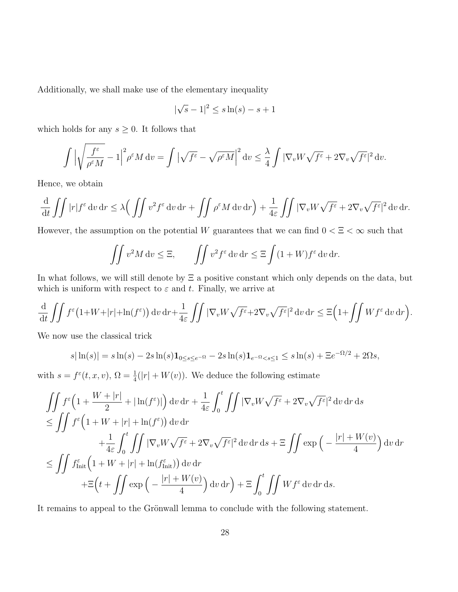Additionally, we shall make use of the elementary inequality

$$
|\sqrt{s} - 1|^2 \le s \ln(s) - s + 1
$$

which holds for any  $s \geq 0$ . It follows that

$$
\int \left| \sqrt{\frac{f^{\varepsilon}}{\rho^{\varepsilon} M}} - 1 \right|^2 \rho^{\varepsilon} M \, \mathrm{d}v = \int \left| \sqrt{f^{\varepsilon}} - \sqrt{\rho^{\varepsilon} M} \right|^2 \mathrm{d}v \le \frac{\lambda}{4} \int |\nabla_v W \sqrt{f^{\varepsilon}} + 2 \nabla_v \sqrt{f^{\varepsilon}}|^2 \, \mathrm{d}v.
$$

Hence, we obtain

$$
\frac{\mathrm{d}}{\mathrm{d}t} \iint |r| f^{\varepsilon} \, \mathrm{d}v \, \mathrm{d}r \leq \lambda \Big( \iint v^{2} f^{\varepsilon} \, \mathrm{d}v \, \mathrm{d}r + \iint \rho^{\varepsilon} M \, \mathrm{d}v \, \mathrm{d}r \Big) + \frac{1}{4\varepsilon} \iint |\nabla_{v} W \sqrt{f^{\varepsilon}} + 2\nabla_{v} \sqrt{f^{\varepsilon}}|^{2} \, \mathrm{d}v \, \mathrm{d}r.
$$

However, the assumption on the potential W guarantees that we can find  $0 < \Xi < \infty$  such that

$$
\iint v^2 M \, \mathrm{d}v \le \Xi, \qquad \iint v^2 f^\varepsilon \, \mathrm{d}v \, \mathrm{d}r \le \Xi \int (1+W) f^\varepsilon \, \mathrm{d}v \, \mathrm{d}r.
$$

In what follows, we will still denote by Ξ a positive constant which only depends on the data, but which is uniform with respect to  $\varepsilon$  and t. Finally, we arrive at

$$
\frac{\mathrm{d}}{\mathrm{d}t} \iint f^{\varepsilon} \left( 1 + W + |r| + \ln(f^{\varepsilon}) \right) \mathrm{d}v \, \mathrm{d}r + \frac{1}{4\varepsilon} \iint \left| \nabla_v W \sqrt{f^{\varepsilon}} + 2 \nabla_v \sqrt{f^{\varepsilon}} \right|^2 \mathrm{d}v \, \mathrm{d}r \le \Xi \left( 1 + \iint W f^{\varepsilon} \, \mathrm{d}v \, \mathrm{d}r \right).
$$

We now use the classical trick

$$
s|\ln(s)| = s\ln(s) - 2s\ln(s)\mathbf{1}_{0 \le s \le e^{-\Omega}} - 2s\ln(s)\mathbf{1}_{e^{-\Omega} < s \le 1} \le s\ln(s) + \Xi e^{-\Omega/2} + 2\Omega s,
$$

with  $s = f^{\varepsilon}(t, x, v), \Omega = \frac{1}{4}(|r| + W(v)).$  We deduce the following estimate

$$
\iint_{\mathcal{L}} f^{\varepsilon} \left( 1 + \frac{W + |r|}{2} + |\ln(f^{\varepsilon})| \right) dv dr + \frac{1}{4\varepsilon} \int_{0}^{t} \iint_{\mathcal{L}} |\nabla_{v} W \sqrt{f^{\varepsilon}} + 2 \nabla_{v} \sqrt{f^{\varepsilon}}|^{2} dv dr ds
$$
  
\n
$$
\leq \iint_{\mathcal{L}} f^{\varepsilon} \left( 1 + W + |r| + \ln(f^{\varepsilon}) \right) dv dr + \frac{1}{4\varepsilon} \int_{0}^{t} \iint_{\mathcal{L}} |\nabla_{v} W \sqrt{f^{\varepsilon}} + 2 \nabla_{v} \sqrt{f^{\varepsilon}}|^{2} dv dr ds + \Xi \iint_{\mathcal{L}} \exp \left( -\frac{|r| + W(v)}{4} \right) dv dr
$$
  
\n
$$
\leq \iint_{\mathcal{L}} f^{\varepsilon}_{\text{Init}} \left( 1 + W + |r| + \ln(f^{\varepsilon}_{\text{Init}}) \right) dv dr + \Xi \left( t + \iint_{\mathcal{L}} \exp \left( -\frac{|r| + W(v)}{4} \right) dv dr \right) + \Xi \int_{0}^{t} \iint_{\mathcal{L}} W f^{\varepsilon} dv dr ds.
$$

It remains to appeal to the Grönwall lemma to conclude with the following statement.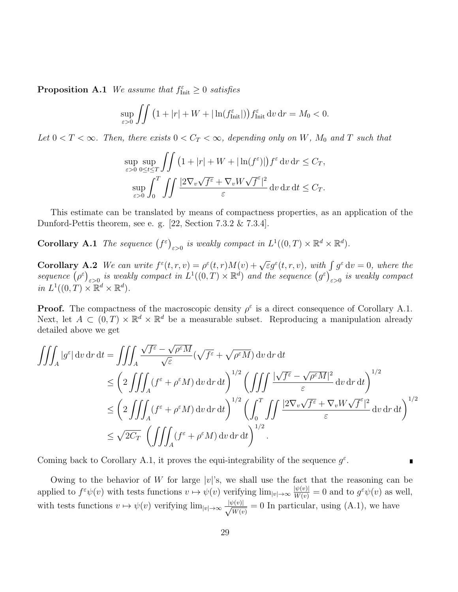**Proposition A.1** We assume that  $f_{\text{Init}}^{\varepsilon} \geq 0$  satisfies

$$
\sup_{\varepsilon>0}\iint \left(1+|r|+W+|\ln(f_{\text{Init}}^{\varepsilon})\right)f_{\text{Init}}^{\varepsilon}\,\mathrm{d}v\,\mathrm{d}r=M_0<0.
$$

Let  $0 < T < \infty$ . Then, there exists  $0 < C_T < \infty$ , depending only on W, M<sub>0</sub> and T such that

$$
\sup_{\varepsilon>0} \sup_{0\leq t\leq T} \iint \left(1+|r|+W+|\ln(f^{\varepsilon})|\right) f^{\varepsilon} \, \mathrm{d}v \, \mathrm{d}r \leq C_T,
$$
  

$$
\sup_{\varepsilon>0} \int_0^T \iint \frac{|2\nabla_v \sqrt{f^{\varepsilon}} + \nabla_v W \sqrt{f^{\varepsilon}}|^2}{\varepsilon} \, \mathrm{d}v \, \mathrm{d}x \, \mathrm{d}t \leq C_T.
$$

This estimate can be translated by means of compactness properties, as an application of the Dunford-Pettis theorem, see e. g. [22, Section 7.3.2 & 7.3.4].

**Corollary A.1** The sequence  $(f^{\varepsilon})_{\varepsilon>0}$  is weakly compact in  $L^1((0,T)\times \mathbb{R}^d \times \mathbb{R}^d)$ .

**Corollary A.2** We can write  $f^{\varepsilon}(t,r,v) = \rho^{\varepsilon}(t,r)M(v) + \sqrt{\varepsilon}g^{\varepsilon}(t,r,v)$ , with  $\int g^{\varepsilon} dv = 0$ , where the sequence  $(\rho^{\varepsilon})_{\varepsilon>0}$  is weakly compact in  $L^1((0,T)\times\mathbb{R}^d)$  and the sequence  $(g^{\varepsilon})_{\varepsilon>0}$  is weakly compact in  $L^1((0,T)\times \mathbb{R}^d \times \mathbb{R}^d)$ .

**Proof.** The compactness of the macroscopic density  $\rho^{\epsilon}$  is a direct consequence of Corollary A.1. Next, let  $A \subset (0,T) \times \mathbb{R}^d \times \mathbb{R}^d$  be a measurable subset. Reproducing a manipulation already detailed above we get

$$
\iiint_A |g^{\varepsilon}| dv dr dt = \iiint_A \frac{\sqrt{f^{\varepsilon}} - \sqrt{\rho^{\varepsilon} M}}{\sqrt{\varepsilon}} (\sqrt{f^{\varepsilon}} + \sqrt{\rho^{\varepsilon} M}) dv dr dt \n\leq \left( 2 \iiint_A (f^{\varepsilon} + \rho^{\varepsilon} M) dv dr dt \right)^{1/2} \left( \iiint_A \frac{|\sqrt{f^{\varepsilon}} - \sqrt{\rho^{\varepsilon} M}|^2}{\varepsilon} dv dr dt \right)^{1/2} \n\leq \left( 2 \iiint_A (f^{\varepsilon} + \rho^{\varepsilon} M) dv dr dt \right)^{1/2} \left( \int_0^T \iint_A \frac{|2\nabla_v \sqrt{f^{\varepsilon}} + \nabla_v W \sqrt{f^{\varepsilon}}|^2}{\varepsilon} dv dr dt \right)^{1/2} \n\leq \sqrt{2C_T} \left( \iiint_A (f^{\varepsilon} + \rho^{\varepsilon} M) dv dr dt \right)^{1/2} .
$$

Coming back to Corollary A.1, it proves the equi-integrability of the sequence  $g^{\varepsilon}$ .

Owing to the behavior of W for large  $|v|$ 's, we shall use the fact that the reasoning can be applied to  $f^{\varepsilon}\psi(v)$  with tests functions  $v \mapsto \psi(v)$  verifying  $\lim_{|v| \to \infty} \frac{|\psi(v)|}{W(v)} = 0$  and to  $g^{\varepsilon}\psi(v)$  as well, with tests functions  $v \mapsto \psi(v)$  verifying  $\lim_{|v| \to \infty} \frac{|\psi(v)|}{\sqrt{W(v)}}$  $\frac{\partial [v]}{\partial W(v)} = 0$  In particular, using (A.1), we have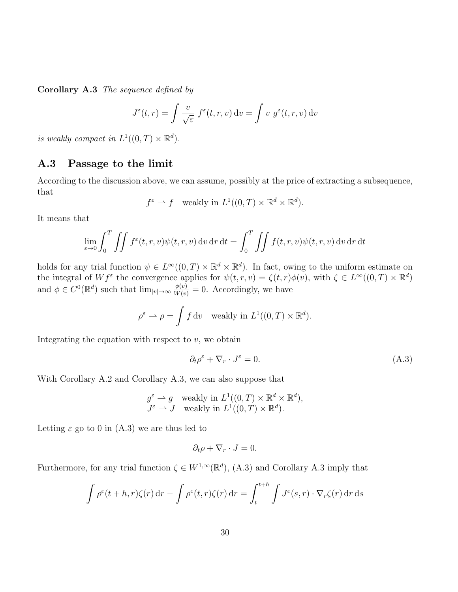Corollary A.3 The sequence defined by

$$
J^{\varepsilon}(t,r) = \int \frac{v}{\sqrt{\varepsilon}} f^{\varepsilon}(t,r,v) dv = \int v g^{\varepsilon}(t,r,v) dv
$$

is weakly compact in  $L^1((0,T) \times \mathbb{R}^d)$ .

## A.3 Passage to the limit

According to the discussion above, we can assume, possibly at the price of extracting a subsequence, that

$$
f^{\varepsilon} \to f
$$
 weakly in  $L^1((0,T) \times \mathbb{R}^d \times \mathbb{R}^d)$ .

It means that

$$
\lim_{\varepsilon \to 0} \int_0^T \iint f^{\varepsilon}(t, r, v) \psi(t, r, v) \, dv \, dr \, dt = \int_0^T \iint f(t, r, v) \psi(t, r, v) \, dv \, dr \, dt
$$

holds for any trial function  $\psi \in L^{\infty}((0,T) \times \mathbb{R}^d \times \mathbb{R}^d)$ . In fact, owing to the uniform estimate on the integral of  $Wf^{\varepsilon}$  the convergence applies for  $\psi(t,r,v) = \zeta(t,r)\phi(v)$ , with  $\zeta \in L^{\infty}((0,T) \times \mathbb{R}^d)$ and  $\phi \in C^0(\mathbb{R}^d)$  such that  $\lim_{|v| \to \infty} \frac{\phi(v)}{W(v)} = 0$ . Accordingly, we have

$$
\rho^{\varepsilon} \rightharpoonup \rho = \int f \, \mathrm{d}v \quad \text{weakly in } L^{1}((0, T) \times \mathbb{R}^{d}).
$$

Integrating the equation with respect to  $v$ , we obtain

$$
\partial_t \rho^\varepsilon + \nabla_r \cdot J^\varepsilon = 0. \tag{A.3}
$$

With Corollary A.2 and Corollary A.3, we can also suppose that

$$
g^{\varepsilon} \to g
$$
 weakly in  $L^1((0,T) \times \mathbb{R}^d \times \mathbb{R}^d)$ ,  
\n $J^{\varepsilon} \to J$  weakly in  $L^1((0,T) \times \mathbb{R}^d)$ .

Letting  $\varepsilon$  go to 0 in (A.3) we are thus led to

$$
\partial_t \rho + \nabla_r \cdot J = 0.
$$

Furthermore, for any trial function  $\zeta \in W^{1,\infty}(\mathbb{R}^d)$ , (A.3) and Corollary A.3 imply that

$$
\int \rho^{\varepsilon}(t+h,r)\zeta(r) dr - \int \rho^{\varepsilon}(t,r)\zeta(r) dr = \int_{t}^{t+h} \int J^{\varepsilon}(s,r) \cdot \nabla_r \zeta(r) dr ds
$$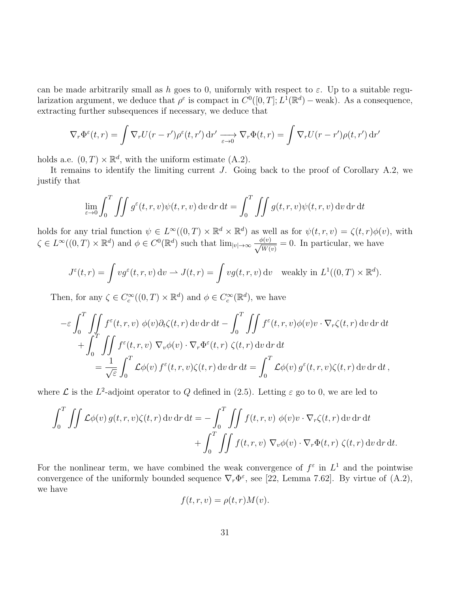can be made arbitrarily small as h goes to 0, uniformly with respect to  $\varepsilon$ . Up to a suitable regularization argument, we deduce that  $\rho^{\varepsilon}$  is compact in  $C^{0}([0,T];L^{\overline{1}}(\mathbb{R}^{d})$  – weak). As a consequence, extracting further subsequences if necessary, we deduce that

$$
\nabla_r \Phi^{\varepsilon}(t,r) = \int \nabla_r U(r-r')\rho^{\varepsilon}(t,r') dr' \xrightarrow[\varepsilon \to 0]{} \nabla_r \Phi(t,r) = \int \nabla_r U(r-r')\rho(t,r') dr'
$$

holds a.e.  $(0, T) \times \mathbb{R}^d$ , with the uniform estimate  $(A.2)$ .

It remains to identify the limiting current  $J$ . Going back to the proof of Corollary A.2, we justify that

$$
\lim_{\varepsilon \to 0} \int_0^T \iint g^{\varepsilon}(t, r, v) \psi(t, r, v) \, dv \, dr \, dt = \int_0^T \iint g(t, r, v) \psi(t, r, v) \, dv \, dr \, dt
$$

holds for any trial function  $\psi \in L^{\infty}((0,T) \times \mathbb{R}^d \times \mathbb{R}^d)$  as well as for  $\psi(t,r,v) = \zeta(t,r)\phi(v)$ , with  $\zeta \in L^{\infty}((0,T) \times \mathbb{R}^d)$  and  $\phi \in C^0(\mathbb{R}^d)$  such that  $\lim_{|v| \to \infty} \frac{\phi(v)}{\sqrt{W_v}}$  $\frac{\partial(v)}{\partial W(v)} = 0$ . In particular, we have

$$
J^{\varepsilon}(t,r) = \int v g^{\varepsilon}(t,r,v) dv \rightharpoonup J(t,r) = \int v g(t,r,v) dv \quad \text{weakly in } L^{1}((0,T) \times \mathbb{R}^{d}).
$$

Then, for any  $\zeta \in C_c^{\infty}((0,T) \times \mathbb{R}^d)$  and  $\phi \in C_c^{\infty}(\mathbb{R}^d)$ , we have

$$
-\varepsilon \int_0^T \iint \, f^{\varepsilon}(t,r,v) \, \phi(v) \partial_t \zeta(t,r) \, dv \, dr \, dt - \int_0^T \iint f^{\varepsilon}(t,r,v) \phi(v) v \cdot \nabla_r \zeta(t,r) \, dv \, dr \, dt + \int_0^T \iint f^{\varepsilon}(t,r,v) \, \nabla_v \phi(v) \cdot \nabla_r \Phi^{\varepsilon}(t,r) \, \zeta(t,r) \, dv \, dr \, dt = \frac{1}{\sqrt{\varepsilon}} \int_0^T \mathcal{L}\phi(v) \, f^{\varepsilon}(t,r,v) \zeta(t,r) \, dv \, dr \, dt = \int_0^T \mathcal{L}\phi(v) \, g^{\varepsilon}(t,r,v) \zeta(t,r) \, dv \, dr \, dt,
$$

where  $\mathcal L$  is the  $L^2$ -adjoint operator to Q defined in (2.5). Letting  $\varepsilon$  go to 0, we are led to

$$
\int_0^T \iint \mathcal{L}\phi(v) g(t, r, v) \zeta(t, r) dv dr dt = -\int_0^T \iint f(t, r, v) \phi(v) v \cdot \nabla_r \zeta(t, r) dv dr dt + \int_0^T \iint f(t, r, v) \nabla_v \phi(v) \cdot \nabla_r \Phi(t, r) \zeta(t, r) dv dr dt.
$$

For the nonlinear term, we have combined the weak convergence of  $f^{\varepsilon}$  in  $L^{1}$  and the pointwise convergence of the uniformly bounded sequence  $\nabla_r \Phi^\varepsilon$ , see [22, Lemma 7.62]. By virtue of (A.2), we have

$$
f(t, r, v) = \rho(t, r)M(v).
$$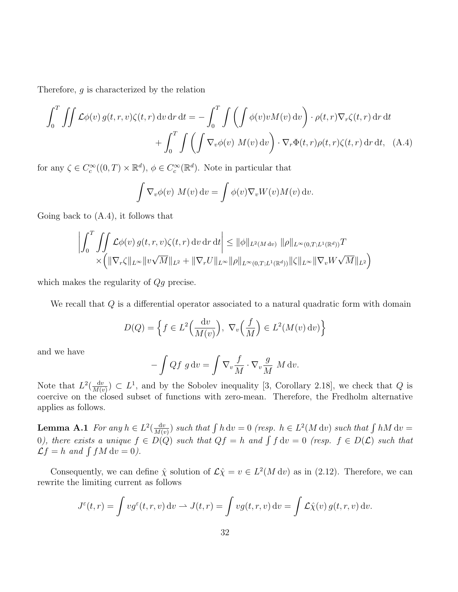Therefore, g is characterized by the relation

$$
\int_0^T \iint \mathcal{L}\phi(v) g(t, r, v)\zeta(t, r) dv dr dt = -\int_0^T \iint \left( \int \phi(v)v M(v) dv \right) \cdot \rho(t, r) \nabla_r \zeta(t, r) dr dt + \int_0^T \int \left( \int \nabla_v \phi(v) M(v) dv \right) \cdot \nabla_r \Phi(t, r) \rho(t, r) \zeta(t, r) dr dt, \quad (A.4)
$$

for any  $\zeta \in C_c^{\infty}((0,T) \times \mathbb{R}^d)$ ,  $\phi \in C_c^{\infty}(\mathbb{R}^d)$ . Note in particular that

$$
\int \nabla_v \phi(v) \, M(v) \, dv = \int \phi(v) \nabla_v W(v) M(v) \, dv.
$$

Going back to (A.4), it follows that

$$
\left| \int_{0}^{T} \int_{0}^{T} \int_{\mathcal{L}} \phi(v) g(t, r, v) \zeta(t, r) dv dr dt \right| \leq ||\phi||_{L^{2}(M dv)} ||\rho||_{L^{\infty}(0, T; L^{1}(\mathbb{R}^{d}))} T
$$
  
 
$$
\times \left( ||\nabla_{r} \zeta||_{L^{\infty}} ||v\sqrt{M}||_{L^{2}} + ||\nabla_{r} U||_{L^{\infty}} ||\rho||_{L^{\infty}(0, T; L^{1}(\mathbb{R}^{d}))} ||\zeta||_{L^{\infty}} ||\nabla_{v} W \sqrt{M}||_{L^{2}} \right)
$$

which makes the regularity of  $Qg$  precise.

We recall that  $Q$  is a differential operator associated to a natural quadratic form with domain

$$
D(Q) = \left\{ f \in L^2\left(\frac{\mathrm{d}v}{M(v)}\right), \ \nabla_v\left(\frac{f}{M}\right) \in L^2(M(v)\,\mathrm{d}v) \right\}
$$

and we have

$$
-\int Qf\ g\ dv = \int \nabla_v \frac{f}{M} \cdot \nabla_v \frac{g}{M} \ M\ dv.
$$

Note that  $L^2(\frac{dv}{Mg})$  $\frac{dv}{M(v)}$   $\subset L^1$ , and by the Sobolev inequality [3, Corollary 2.18], we check that Q is coercive on the closed subset of functions with zero-mean. Therefore, the Fredholm alternative applies as follows.

**Lemma A.1** For any  $h \in L^2(\frac{dv}{Mg})$  $\frac{dv}{M(v)}$ ) such that  $\int h dv = 0$  (resp.  $h \in L^2(M dv)$  such that  $\int h M dv =$ 0), there exists a unique  $f \in D(Q)$  such that  $Qf = h$  and  $\int f dv = 0$  (resp.  $f \in D(\mathcal{L})$  such that  $\mathcal{L}f = h$  and  $\int fM dv = 0$ .

Consequently, we can define  $\hat{\chi}$  solution of  $\mathcal{L}\hat{\chi} = v \in L^2(M \, \mathrm{d}v)$  as in (2.12). Therefore, we can rewrite the limiting current as follows

$$
J^{\varepsilon}(t,r) = \int v g^{\varepsilon}(t,r,v) dv \rightharpoonup J(t,r) = \int v g(t,r,v) dv = \int \mathcal{L}\hat{\chi}(v) g(t,r,v) dv.
$$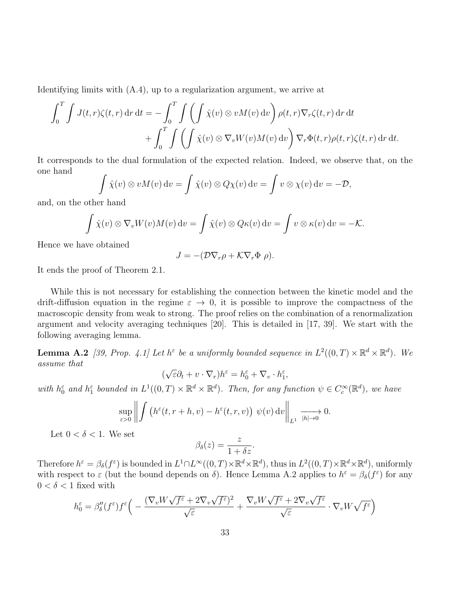Identifying limits with (A.4), up to a regularization argument, we arrive at

$$
\int_0^T \int J(t,r)\zeta(t,r) \,dr \,dt = -\int_0^T \int \left(\int \hat{\chi}(v) \otimes v M(v) \,dv\right) \rho(t,r) \nabla_r \zeta(t,r) \,dr \,dt + \int_0^T \int \left(\int \hat{\chi}(v) \otimes \nabla_v W(v) M(v) \,dv\right) \nabla_r \Phi(t,r) \rho(t,r) \zeta(t,r) \,dr \,dt.
$$

It corresponds to the dual formulation of the expected relation. Indeed, we observe that, on the one hand

$$
\int \hat{\chi}(v) \otimes v M(v) dv = \int \hat{\chi}(v) \otimes Q \chi(v) dv = \int v \otimes \chi(v) dv = -\mathcal{D},
$$

and, on the other hand

$$
\int \hat{\chi}(v) \otimes \nabla_v W(v) M(v) dv = \int \hat{\chi}(v) \otimes Q \kappa(v) dv = \int v \otimes \kappa(v) dv = -\mathcal{K}.
$$

Hence we have obtained

$$
J = -(\mathcal{D}\nabla_r \rho + \mathcal{K}\nabla_r \Phi \rho).
$$

It ends the proof of Theorem 2.1.

While this is not necessary for establishing the connection between the kinetic model and the drift-diffusion equation in the regime  $\varepsilon \to 0$ , it is possible to improve the compactness of the macroscopic density from weak to strong. The proof relies on the combination of a renormalization argument and velocity averaging techniques [20]. This is detailed in [17, 39]. We start with the following averaging lemma.

**Lemma A.2** [39, Prop. 4.1] Let  $h^{\varepsilon}$  be a uniformly bounded sequence in  $L^2((0,T) \times \mathbb{R}^d \times \mathbb{R}^d)$ . We assume that √

$$
(\sqrt{\varepsilon} \partial_t + v \cdot \nabla_r) h^{\varepsilon} = h^{\varepsilon}_0 + \nabla_v \cdot h^{\varepsilon}_1,
$$

with  $h_0^{\varepsilon}$  and  $h_1^{\varepsilon}$  bounded in  $L^1((0,T)\times \mathbb{R}^d \times \mathbb{R}^d)$ . Then, for any function  $\psi \in C_c^{\infty}(\mathbb{R}^d)$ , we have

$$
\sup_{\varepsilon>0}\left\|\int\left(h^{\varepsilon}(t,r+h,v)-h^{\varepsilon}(t,r,v)\right)\,\psi(v)\,\mathrm{d} v\right\|_{L^{1}}\xrightarrow[h\to 0]{}0.
$$

Let  $0 < \delta < 1$ . We set

$$
\beta_{\delta}(z) = \frac{z}{1 + \delta z}.
$$

Therefore  $h^{\varepsilon} = \beta_{\delta}(f^{\varepsilon})$  is bounded in  $L^1 \cap L^{\infty}((0,T) \times \mathbb{R}^d \times \mathbb{R}^d)$ , thus in  $L^2((0,T) \times \mathbb{R}^d \times \mathbb{R}^d)$ , uniformly with respect to  $\varepsilon$  (but the bound depends on  $\delta$ ). Hence Lemma A.2 applies to  $h^{\varepsilon} = \beta_{\delta}(f^{\varepsilon})$  for any  $0<\delta<1$  fixed with

$$
h_0^\varepsilon = \beta_\delta''(f^\varepsilon)f^\varepsilon\Big(-\frac{(\nabla_v W\sqrt{f^\varepsilon}+2\nabla_v\sqrt{f^\varepsilon})^2}{\sqrt{\varepsilon}}+\frac{\nabla_v W\sqrt{f^\varepsilon}+2\nabla_v\sqrt{f^\varepsilon}}{\sqrt{\varepsilon}}\cdot\nabla_v W\sqrt{f^\varepsilon}\Big)
$$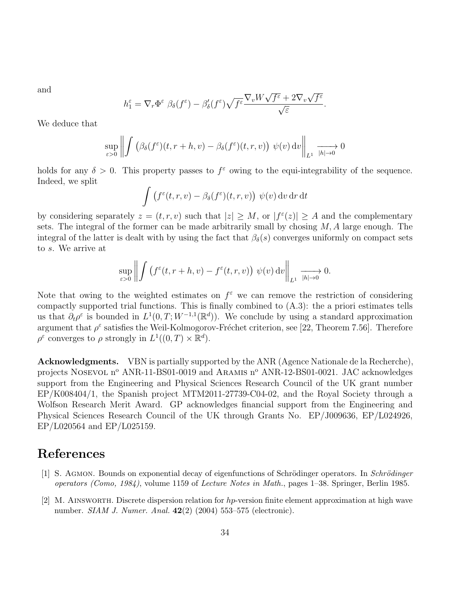and

$$
h_1^{\varepsilon} = \nabla_r \Phi^{\varepsilon} \beta_{\delta}(f^{\varepsilon}) - \beta'_{\delta}(f^{\varepsilon}) \sqrt{f^{\varepsilon}} \frac{\nabla_v W \sqrt{f^{\varepsilon}} + 2\nabla_v \sqrt{f^{\varepsilon}}}{\sqrt{\varepsilon}}.
$$

We deduce that

$$
\sup_{\varepsilon>0}\left\|\int\left(\beta_{\delta}(f^{\varepsilon})(t,r+h,v)-\beta_{\delta}(f^{\varepsilon})(t,r,v)\right)\,\psi(v)\,\mathrm{d}v\right\|_{L^{1}}\xrightarrow[h\to 0]{}0
$$

holds for any  $\delta > 0$ . This property passes to  $f^{\epsilon}$  owing to the equi-integrability of the sequence. Indeed, we split

$$
\int (f^{\varepsilon}(t,r,v) - \beta_{\delta}(f^{\varepsilon})(t,r,v)) \psi(v) dv dr dt
$$

by considering separately  $z = (t, r, v)$  such that  $|z| \geq M$ , or  $|f^{\varepsilon}(z)| \geq A$  and the complementary sets. The integral of the former can be made arbitrarily small by chosing  $M$ ,  $\overline{A}$  large enough. The integral of the latter is dealt with by using the fact that  $\beta_{\delta}(s)$  converges uniformly on compact sets to s. We arrive at

$$
\sup_{\varepsilon>0}\left\|\int\left(f^{\varepsilon}(t,r+h,v)-f^{\varepsilon}(t,r,v)\right)\,\psi(v)\,\mathrm{d} v\right\|_{L^{1}}\xrightarrow{|h|\to 0}0.
$$

Note that owing to the weighted estimates on  $f^{\varepsilon}$  we can remove the restriction of considering compactly supported trial functions. This is finally combined to (A.3): the a priori estimates tells us that  $\partial_t \rho^{\varepsilon}$  is bounded in  $L^1(0,T;W^{-1,1}(\mathbb{R}^d))$ . We conclude by using a standard approximation argument that  $\rho^{\varepsilon}$  satisfies the Weil-Kolmogorov-Fréchet criterion, see [22, Theorem 7.56]. Therefore  $\rho^{\varepsilon}$  converges to  $\rho$  strongly in  $L^1((0,T) \times \mathbb{R}^d)$ .

Acknowledgments. VBN is partially supported by the ANR (Agence Nationale de la Recherche), projects NOSEVOL n<sup>o</sup> ANR-11-BS01-0019 and ARAMIS n<sup>o</sup> ANR-12-BS01-0021. JAC acknowledges support from the Engineering and Physical Sciences Research Council of the UK grant number EP/K008404/1, the Spanish project MTM2011-27739-C04-02, and the Royal Society through a Wolfson Research Merit Award. GP acknowledges financial support from the Engineering and Physical Sciences Research Council of the UK through Grants No. EP/J009636, EP/L024926, EP/L020564 and EP/L025159.

## References

- [1] S. Agmon. Bounds on exponential decay of eigenfunctions of Schrödinger operators. In Schrödinger operators (Como, 1984), volume 1159 of Lecture Notes in Math., pages 1–38. Springer, Berlin 1985.
- [2] M. AINSWORTH. Discrete dispersion relation for  $hp$ -version finite element approximation at high wave number. *SIAM J. Numer. Anal.* **42**(2) (2004) 553–575 (electronic).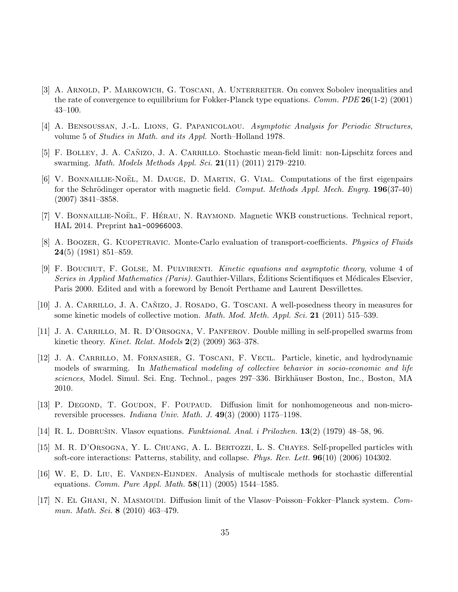- [3] A. ARNOLD, P. MARKOWICH, G. TOSCANI, A. UNTERREITER. On convex Sobolev inequalities and the rate of convergence to equilibrium for Fokker-Planck type equations. *Comm. PDE* 26(1-2) (2001) 43–100.
- [4] A. Bensoussan, J.-L. Lions, G. Papanicolaou. Asymptotic Analysis for Periodic Structures, volume 5 of Studies in Math. and its Appl. North–Holland 1978.
- [5] F. BOLLEY, J. A. CAÑIZO, J. A. CARRILLO. Stochastic mean-field limit: non-Lipschitz forces and swarming. Math. Models Methods Appl. Sci. 21(11) (2011) 2179–2210.
- [6] V. BONNAILLIE-NOËL, M. DAUGE, D. MARTIN, G. VIAL. Computations of the first eigenpairs for the Schrödinger operator with magnetic field. Comput. Methods Appl. Mech. Engry.  $196(37-40)$ (2007) 3841–3858.
- [7] V. BONNAILLIE-NOËL, F. HÉRAU, N. RAYMOND. Magnetic WKB constructions. Technical report, HAL 2014. Preprint hal-00966003.
- [8] A. BOOZER, G. KUOPETRAVIC. Monte-Carlo evaluation of transport-coefficients. *Physics of Fluids* 24(5) (1981) 851–859.
- [9] F. Bouchut, F. Golse, M. Pulvirenti. Kinetic equations and asymptotic theory, volume 4 of Series in Applied Mathematics (Paris). Gauthier-Villars, Editions Scientifiques et Médicales Elsevier, Paris 2000. Edited and with a foreword by Benoît Perthame and Laurent Desvillettes.
- [10] J. A. CARRILLO, J. A. CAÑIZO, J. ROSADO, G. TOSCANI. A well-posedness theory in measures for some kinetic models of collective motion. *Math. Mod. Meth. Appl. Sci.* 21 (2011) 515–539.
- [11] J. A. Carrillo, M. R. D'Orsogna, V. Panferov. Double milling in self-propelled swarms from kinetic theory. Kinet. Relat. Models  $2(2)$  (2009) 363–378.
- [12] J. A. Carrillo, M. Fornasier, G. Toscani, F. Vecil. Particle, kinetic, and hydrodynamic models of swarming. In Mathematical modeling of collective behavior in socio-economic and life sciences, Model. Simul. Sci. Eng. Technol., pages 297–336. Birkhäuser Boston, Inc., Boston, MA 2010.
- [13] P. DEGOND, T. GOUDON, F. POUPAUD. Diffusion limit for nonhomogeneous and non-microreversible processes. Indiana Univ. Math. J. 49(3) (2000) 1175–1198.
- [14] R. L. DOBRUŠIN. Vlasov equations. Funktsional. Anal. i Prilozhen.  $13(2)$  (1979) 48–58, 96.
- [15] M. R. D'Orsogna, Y. L. Chuang, A. L. Bertozzi, L. S. Chayes. Self-propelled particles with soft-core interactions: Patterns, stability, and collapse. Phys. Rev. Lett. 96(10) (2006) 104302.
- [16] W. E, D. Liu, E. Vanden-Eijnden. Analysis of multiscale methods for stochastic differential equations. *Comm. Pure Appl. Math.*  $58(11)$  (2005) 1544–1585.
- [17] N. El Ghani, N. Masmoudi. Diffusion limit of the Vlasov–Poisson–Fokker–Planck system. Commun. Math. Sci. 8 (2010) 463–479.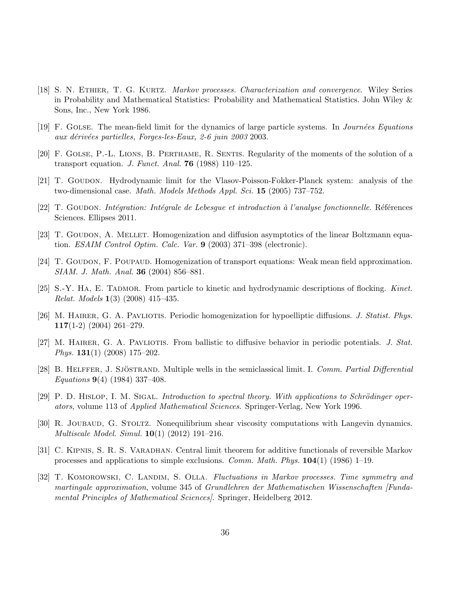- [18] S. N. ETHIER, T. G. KURTZ. *Markov processes. Characterization and convergence*. Wiley Series in Probability and Mathematical Statistics: Probability and Mathematical Statistics. John Wiley & Sons, Inc., New York 1986.
- [19] F. GOLSE. The mean-field limit for the dynamics of large particle systems. In *Journées Equations* aux dérivées partielles, Forges-les-Eaux, 2-6 juin 2003 2003.
- [20] F. Golse, P.-L. Lions, B. Perthame, R. Sentis. Regularity of the moments of the solution of a transport equation. J. Funct. Anal. 76 (1988) 110–125.
- [21] T. Goudon. Hydrodynamic limit for the Vlasov-Poisson-Fokker-Planck system: analysis of the two-dimensional case. Math. Models Methods Appl. Sci. 15 (2005) 737–752.
- [22] T. GOUDON. Intégration: Intégrale de Lebesgue et introduction à l'analyse fonctionnelle. Références Sciences. Ellipses 2011.
- [23] T. GOUDON, A. MELLET. Homogenization and diffusion asymptotics of the linear Boltzmann equation. ESAIM Control Optim. Calc. Var. 9 (2003) 371–398 (electronic).
- [24] T. GOUDON, F. POUPAUD. Homogenization of transport equations: Weak mean field approximation. SIAM. J. Math. Anal. **36** (2004) 856-881.
- [25] S.-Y. HA, E. TADMOR. From particle to kinetic and hydrodynamic descriptions of flocking. Kinet. Relat. Models 1(3) (2008) 415–435.
- [26] M. HAIRER, G. A. PAVLIOTIS. Periodic homogenization for hypoelliptic diffusions. J. Statist. Phys. 117(1-2) (2004) 261–279.
- [27] M. HAIRER, G. A. PAVLIOTIS. From ballistic to diffusive behavior in periodic potentials. J. Stat. Phys. 131(1) (2008) 175–202.
- [28] B. HELFFER, J. SJÖSTRAND. Multiple wells in the semiclassical limit. I. Comm. Partial Differential Equations 9(4) (1984) 337–408.
- $[29]$  P. D. HISLOP, I. M. SIGAL. Introduction to spectral theory. With applications to Schrödinger operators, volume 113 of Applied Mathematical Sciences. Springer-Verlag, New York 1996.
- [30] R. JOUBAUD, G. STOLTZ. Nonequilibrium shear viscosity computations with Langevin dynamics. Multiscale Model. Simul. 10(1) (2012) 191–216.
- [31] C. KIPNIS, S. R. S. VARADHAN. Central limit theorem for additive functionals of reversible Markov processes and applications to simple exclusions. *Comm. Math. Phys.*  $104(1)$  (1986) 1–19.
- [32] T. KOMOROWSKI, C. LANDIM, S. OLLA. Fluctuations in Markov processes. Time symmetry and martingale approximation, volume 345 of Grundlehren der Mathematischen Wissenschaften [Fundamental Principles of Mathematical Sciences]. Springer, Heidelberg 2012.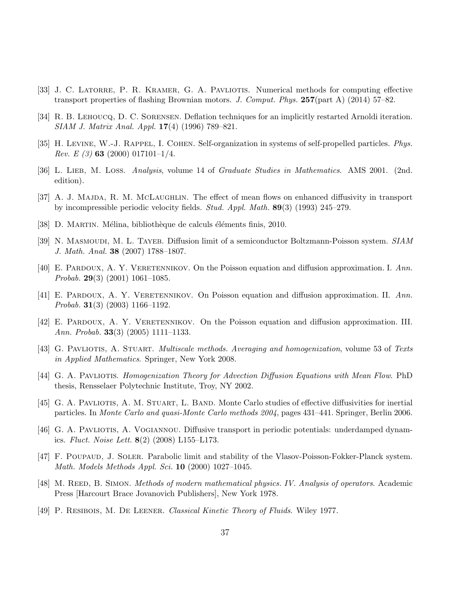- [33] J. C. LATORRE, P. R. KRAMER, G. A. PAVLIOTIS. Numerical methods for computing effective transport properties of flashing Brownian motors. J. Comput. Phys.  $257$ (part A) (2014) 57–82.
- [34] R. B. Lehoucq, D. C. Sorensen. Deflation techniques for an implicitly restarted Arnoldi iteration. SIAM J. Matrix Anal. Appl. 17(4) (1996) 789–821.
- [35] H. LEVINE, W.-J. RAPPEL, I. COHEN. Self-organization in systems of self-propelled particles. Phys. *Rev. E (3)* 63 (2000) 017101-1/4.
- [36] L. LIEB, M. LOSS. Analysis, volume 14 of Graduate Studies in Mathematics. AMS 2001. (2nd. edition).
- [37] A. J. MAJDA, R. M. MCLAUGHLIN. The effect of mean flows on enhanced diffusivity in transport by incompressible periodic velocity fields. Stud. Appl. Math. 89(3) (1993) 245–279.
- [38] D. MARTIN. Mélina, bibliothèque de calculs éléments finis, 2010.
- [39] N. MASMOUDI, M. L. TAYEB. Diffusion limit of a semiconductor Boltzmann-Poisson system. SIAM J. Math. Anal. 38 (2007) 1788–1807.
- [40] E. PARDOUX, A. Y. VERETENNIKOV. On the Poisson equation and diffusion approximation. I. Ann. *Probab.* **29**(3) (2001) 1061–1085.
- [41] E. PARDOUX, A. Y. VERETENNIKOV. On Poisson equation and diffusion approximation. II. Ann. *Probab.* **31**(3) (2003) 1166–1192.
- [42] E. Pardoux, A. Y. Veretennikov. On the Poisson equation and diffusion approximation. III. Ann. Probab. 33(3) (2005) 1111–1133.
- [43] G. PAVLIOTIS, A. STUART. *Multiscale methods. Averaging and homogenization*, volume 53 of Texts in Applied Mathematics. Springer, New York 2008.
- [44] G. A. Pavliotis. Homogenization Theory for Advection Diffusion Equations with Mean Flow. PhD thesis, Rensselaer Polytechnic Institute, Troy, NY 2002.
- [45] G. A. PAVLIOTIS, A. M. STUART, L. BAND. Monte Carlo studies of effective diffusivities for inertial particles. In Monte Carlo and quasi-Monte Carlo methods 2004, pages 431–441. Springer, Berlin 2006.
- [46] G. A. Pavliotis, A. Vogiannou. Diffusive transport in periodic potentials: underdamped dynamics. Fluct. Noise Lett.  $8(2)$  (2008) L155–L173.
- [47] F. POUPAUD, J. SOLER. Parabolic limit and stability of the Vlasov-Poisson-Fokker-Planck system. Math. Models Methods Appl. Sci. 10 (2000) 1027–1045.
- [48] M. REED, B. SIMON. *Methods of modern mathematical physics. IV. Analysis of operators.* Academic Press [Harcourt Brace Jovanovich Publishers], New York 1978.
- [49] P. Resibois, M. De Leener. Classical Kinetic Theory of Fluids. Wiley 1977.